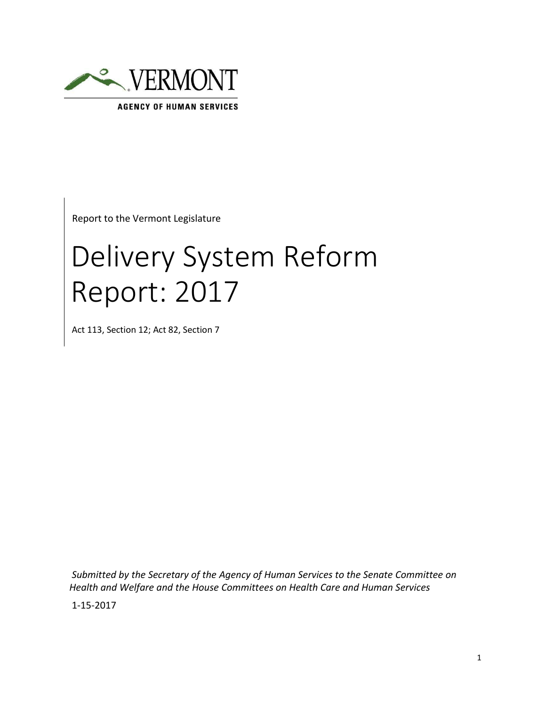

**AGENCY OF HUMAN SERVICES** 

Report to the Vermont Legislature

# Delivery System Reform Report: 2017

Act 113, Section 12; Act 82, Section 7

*Submitted by the Secretary of the Agency of Human Services to the Senate Committee on Health and Welfare and the House Committees on Health Care and Human Services*

1-15-2017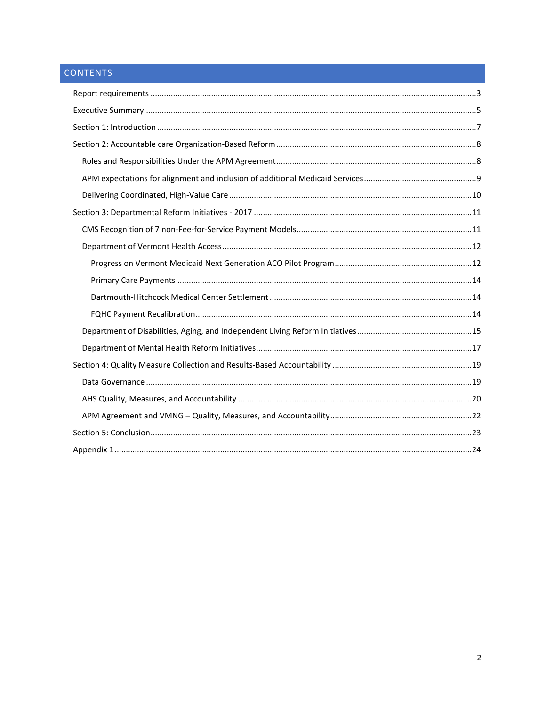# CONTENTS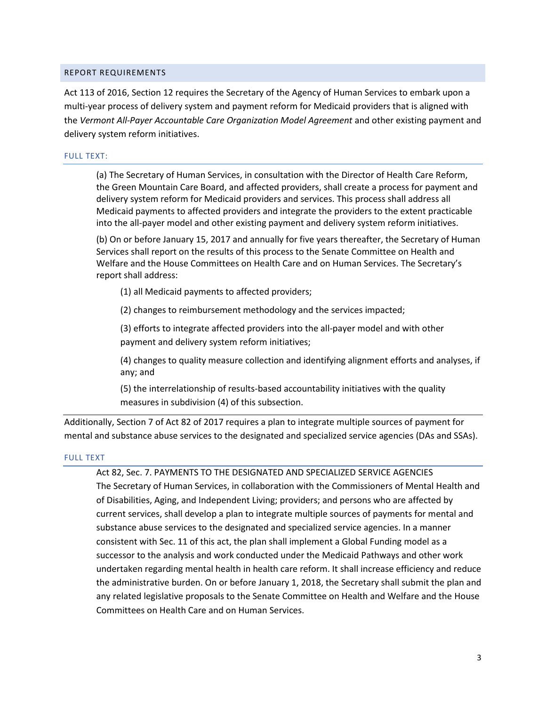### <span id="page-2-0"></span>REPORT REQUIREMENTS

Act 113 of 2016, Section 12 requires the Secretary of the Agency of Human Services to embark upon a multi-year process of delivery system and payment reform for Medicaid providers that is aligned with the *Vermont All-Payer Accountable Care Organization Model Agreement* and other existing payment and delivery system reform initiatives.

#### FULL TEXT:

(a) The Secretary of Human Services, in consultation with the Director of Health Care Reform, the Green Mountain Care Board, and affected providers, shall create a process for payment and delivery system reform for Medicaid providers and services. This process shall address all Medicaid payments to affected providers and integrate the providers to the extent practicable into the all-payer model and other existing payment and delivery system reform initiatives.

(b) On or before January 15, 2017 and annually for five years thereafter, the Secretary of Human Services shall report on the results of this process to the Senate Committee on Health and Welfare and the House Committees on Health Care and on Human Services. The Secretary's report shall address:

(1) all Medicaid payments to affected providers;

(2) changes to reimbursement methodology and the services impacted;

(3) efforts to integrate affected providers into the all-payer model and with other payment and delivery system reform initiatives;

(4) changes to quality measure collection and identifying alignment efforts and analyses, if any; and

(5) the interrelationship of results-based accountability initiatives with the quality measures in subdivision (4) of this subsection.

Additionally, Section 7 of Act 82 of 2017 requires a plan to integrate multiple sources of payment for mental and substance abuse services to the designated and specialized service agencies (DAs and SSAs).

#### FULL TEXT

# Act 82, Sec. 7. PAYMENTS TO THE DESIGNATED AND SPECIALIZED SERVICE AGENCIES

The Secretary of Human Services, in collaboration with the Commissioners of Mental Health and of Disabilities, Aging, and Independent Living; providers; and persons who are affected by current services, shall develop a plan to integrate multiple sources of payments for mental and substance abuse services to the designated and specialized service agencies. In a manner consistent with Sec. 11 of this act, the plan shall implement a Global Funding model as a successor to the analysis and work conducted under the Medicaid Pathways and other work undertaken regarding mental health in health care reform. It shall increase efficiency and reduce the administrative burden. On or before January 1, 2018, the Secretary shall submit the plan and any related legislative proposals to the Senate Committee on Health and Welfare and the House Committees on Health Care and on Human Services.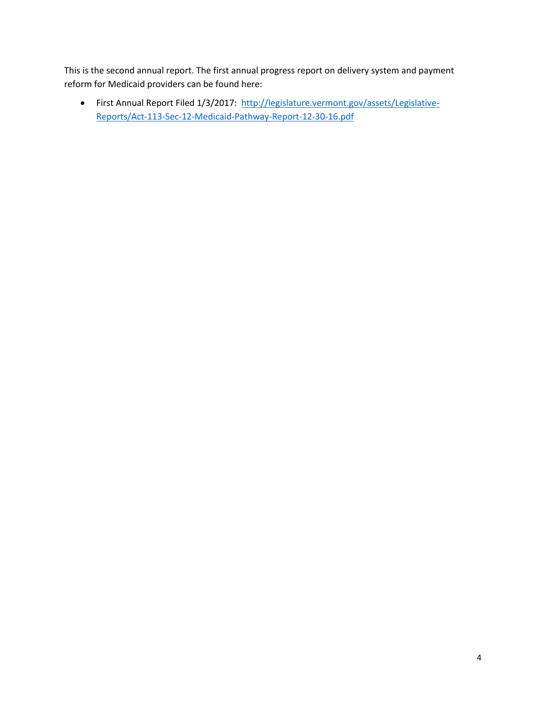This is the second annual report. The first annual progress report on delivery system and payment reform for Medicaid providers can be found here:

• First Annual Report Filed 1/3/2017: [http://legislature.vermont.gov/assets/Legislative-](http://legislature.vermont.gov/assets/Legislative-Reports/Act-113-Sec-12-Medicaid-Pathway-Report-12-30-16.pdf)[Reports/Act-113-Sec-12-Medicaid-Pathway-Report-12-30-16.pdf](http://legislature.vermont.gov/assets/Legislative-Reports/Act-113-Sec-12-Medicaid-Pathway-Report-12-30-16.pdf)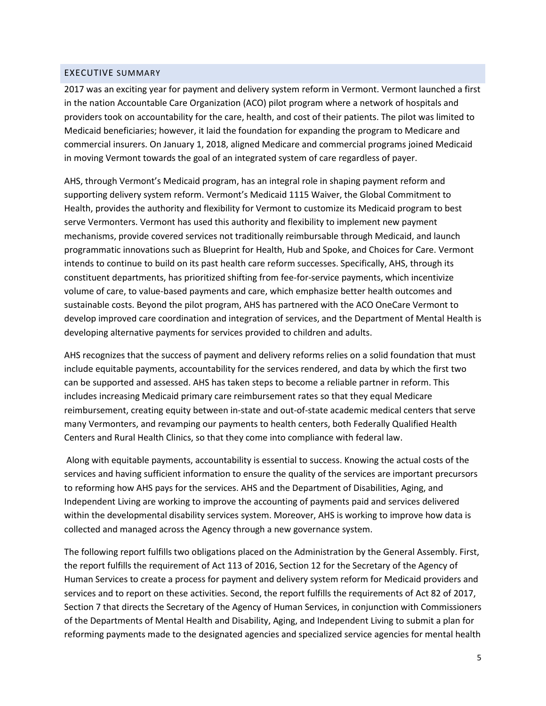#### <span id="page-4-0"></span>EXECUTIVE SUMMARY

2017 was an exciting year for payment and delivery system reform in Vermont. Vermont launched a first in the nation Accountable Care Organization (ACO) pilot program where a network of hospitals and providers took on accountability for the care, health, and cost of their patients. The pilot was limited to Medicaid beneficiaries; however, it laid the foundation for expanding the program to Medicare and commercial insurers. On January 1, 2018, aligned Medicare and commercial programs joined Medicaid in moving Vermont towards the goal of an integrated system of care regardless of payer.

AHS, through Vermont's Medicaid program, has an integral role in shaping payment reform and supporting delivery system reform. Vermont's Medicaid 1115 Waiver, the Global Commitment to Health, provides the authority and flexibility for Vermont to customize its Medicaid program to best serve Vermonters. Vermont has used this authority and flexibility to implement new payment mechanisms, provide covered services not traditionally reimbursable through Medicaid, and launch programmatic innovations such as Blueprint for Health, Hub and Spoke, and Choices for Care. Vermont intends to continue to build on its past health care reform successes. Specifically, AHS, through its constituent departments, has prioritized shifting from fee-for-service payments, which incentivize volume of care, to value-based payments and care, which emphasize better health outcomes and sustainable costs. Beyond the pilot program, AHS has partnered with the ACO OneCare Vermont to develop improved care coordination and integration of services, and the Department of Mental Health is developing alternative payments for services provided to children and adults.

AHS recognizes that the success of payment and delivery reforms relies on a solid foundation that must include equitable payments, accountability for the services rendered, and data by which the first two can be supported and assessed. AHS has taken steps to become a reliable partner in reform. This includes increasing Medicaid primary care reimbursement rates so that they equal Medicare reimbursement, creating equity between in-state and out-of-state academic medical centers that serve many Vermonters, and revamping our payments to health centers, both Federally Qualified Health Centers and Rural Health Clinics, so that they come into compliance with federal law.

Along with equitable payments, accountability is essential to success. Knowing the actual costs of the services and having sufficient information to ensure the quality of the services are important precursors to reforming how AHS pays for the services. AHS and the Department of Disabilities, Aging, and Independent Living are working to improve the accounting of payments paid and services delivered within the developmental disability services system. Moreover, AHS is working to improve how data is collected and managed across the Agency through a new governance system.

The following report fulfills two obligations placed on the Administration by the General Assembly. First, the report fulfills the requirement of Act 113 of 2016, Section 12 for the Secretary of the Agency of Human Services to create a process for payment and delivery system reform for Medicaid providers and services and to report on these activities. Second, the report fulfills the requirements of Act 82 of 2017, Section 7 that directs the Secretary of the Agency of Human Services, in conjunction with Commissioners of the Departments of Mental Health and Disability, Aging, and Independent Living to submit a plan for reforming payments made to the designated agencies and specialized service agencies for mental health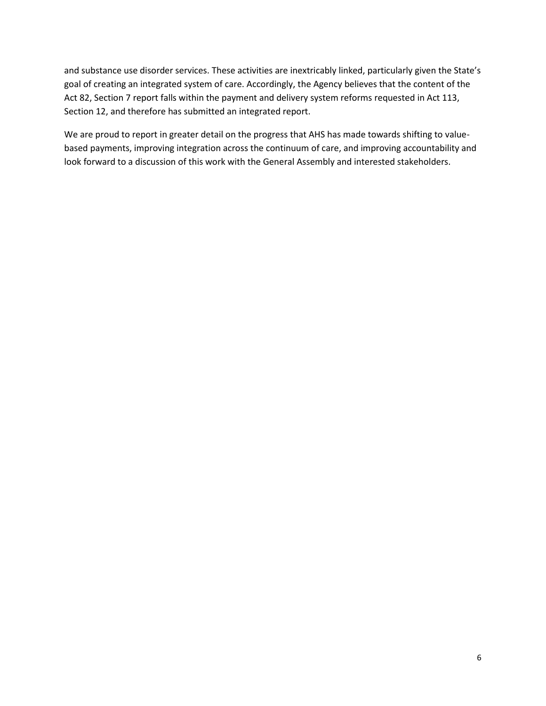and substance use disorder services. These activities are inextricably linked, particularly given the State's goal of creating an integrated system of care. Accordingly, the Agency believes that the content of the Act 82, Section 7 report falls within the payment and delivery system reforms requested in Act 113, Section 12, and therefore has submitted an integrated report.

We are proud to report in greater detail on the progress that AHS has made towards shifting to valuebased payments, improving integration across the continuum of care, and improving accountability and look forward to a discussion of this work with the General Assembly and interested stakeholders.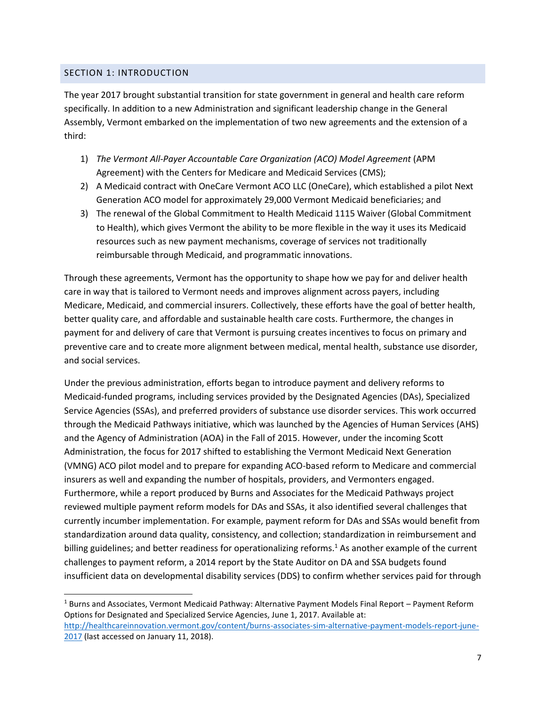# <span id="page-6-0"></span>SECTION 1: INTRODUCTION

 $\overline{a}$ 

The year 2017 brought substantial transition for state government in general and health care reform specifically. In addition to a new Administration and significant leadership change in the General Assembly, Vermont embarked on the implementation of two new agreements and the extension of a third:

- 1) *The Vermont All-Payer Accountable Care Organization (ACO) Model Agreement (APM* Agreement) with the Centers for Medicare and Medicaid Services (CMS);
- 2) A Medicaid contract with OneCare Vermont ACO LLC (OneCare), which established a pilot Next Generation ACO model for approximately 29,000 Vermont Medicaid beneficiaries; and
- 3) The renewal of the Global Commitment to Health Medicaid 1115 Waiver (Global Commitment to Health), which gives Vermont the ability to be more flexible in the way it uses its Medicaid resources such as new payment mechanisms, coverage of services not traditionally reimbursable through Medicaid, and programmatic innovations.

Through these agreements, Vermont has the opportunity to shape how we pay for and deliver health care in way that is tailored to Vermont needs and improves alignment across payers, including Medicare, Medicaid, and commercial insurers. Collectively, these efforts have the goal of better health, better quality care, and affordable and sustainable health care costs. Furthermore, the changes in payment for and delivery of care that Vermont is pursuing creates incentives to focus on primary and preventive care and to create more alignment between medical, mental health, substance use disorder, and social services.

Under the previous administration, efforts began to introduce payment and delivery reforms to Medicaid-funded programs, including services provided by the Designated Agencies (DAs), Specialized Service Agencies (SSAs), and preferred providers of substance use disorder services. This work occurred through the Medicaid Pathways initiative, which was launched by the Agencies of Human Services (AHS) and the Agency of Administration (AOA) in the Fall of 2015. However, under the incoming Scott Administration, the focus for 2017 shifted to establishing the Vermont Medicaid Next Generation (VMNG) ACO pilot model and to prepare for expanding ACO-based reform to Medicare and commercial insurers as well and expanding the number of hospitals, providers, and Vermonters engaged. Furthermore, while a report produced by Burns and Associates for the Medicaid Pathways project reviewed multiple payment reform models for DAs and SSAs, it also identified several challenges that currently incumber implementation. For example, payment reform for DAs and SSAs would benefit from standardization around data quality, consistency, and collection; standardization in reimbursement and billing guidelines; and better readiness for operationalizing reforms.<sup>1</sup> As another example of the current challenges to payment reform, a 2014 report by the State Auditor on DA and SSA budgets found insufficient data on developmental disability services (DDS) to confirm whether services paid for through

<sup>1</sup> Burns and Associates, Vermont Medicaid Pathway: Alternative Payment Models Final Report – Payment Reform Options for Designated and Specialized Service Agencies, June 1, 2017. Available at: [http://healthcareinnovation.vermont.gov/content/burns-associates-sim-alternative-payment-models-report-june-](http://healthcareinnovation.vermont.gov/content/burns-associates-sim-alternative-payment-models-report-june-2017)[2017](http://healthcareinnovation.vermont.gov/content/burns-associates-sim-alternative-payment-models-report-june-2017) (last accessed on January 11, 2018).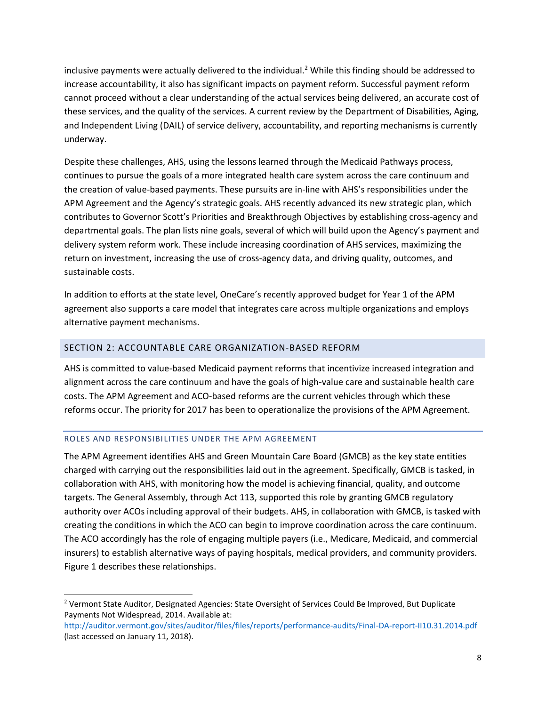inclusive payments were actually delivered to the individual.<sup>2</sup> While this finding should be addressed to increase accountability, it also has significant impacts on payment reform. Successful payment reform cannot proceed without a clear understanding of the actual services being delivered, an accurate cost of these services, and the quality of the services. A current review by the Department of Disabilities, Aging, and Independent Living (DAIL) of service delivery, accountability, and reporting mechanisms is currently underway.

Despite these challenges, AHS, using the lessons learned through the Medicaid Pathways process, continues to pursue the goals of a more integrated health care system across the care continuum and the creation of value-based payments. These pursuits are in-line with AHS's responsibilities under the APM Agreement and the Agency's strategic goals. AHS recently advanced its new strategic plan, which contributes to Governor Scott's Priorities and Breakthrough Objectives by establishing cross-agency and departmental goals. The plan lists nine goals, several of which will build upon the Agency's payment and delivery system reform work. These include increasing coordination of AHS services, maximizing the return on investment, increasing the use of cross-agency data, and driving quality, outcomes, and sustainable costs.

In addition to efforts at the state level, OneCare's recently approved budget for Year 1 of the APM agreement also supports a care model that integrates care across multiple organizations and employs alternative payment mechanisms.

## <span id="page-7-0"></span>SECTION 2: ACCOUNTABLE CARE ORGANIZATION-BASED REFORM

AHS is committed to value-based Medicaid payment reforms that incentivize increased integration and alignment across the care continuum and have the goals of high-value care and sustainable health care costs. The APM Agreement and ACO-based reforms are the current vehicles through which these reforms occur. The priority for 2017 has been to operationalize the provisions of the APM Agreement.

#### <span id="page-7-1"></span>ROLES AND RESPONSIBILITIES UNDER THE APM AGREEMENT

 $\overline{a}$ 

The APM Agreement identifies AHS and Green Mountain Care Board (GMCB) as the key state entities charged with carrying out the responsibilities laid out in the agreement. Specifically, GMCB is tasked, in collaboration with AHS, with monitoring how the model is achieving financial, quality, and outcome targets. The General Assembly, through Act 113, supported this role by granting GMCB regulatory authority over ACOs including approval of their budgets. AHS, in collaboration with GMCB, is tasked with creating the conditions in which the ACO can begin to improve coordination across the care continuum. The ACO accordingly has the role of engaging multiple payers (i.e., Medicare, Medicaid, and commercial insurers) to establish alternative ways of paying hospitals, medical providers, and community providers. Figure 1 describes these relationships.

<sup>&</sup>lt;sup>2</sup> Vermont State Auditor, Designated Agencies: State Oversight of Services Could Be Improved, But Duplicate Payments Not Widespread, 2014. Available at:

<http://auditor.vermont.gov/sites/auditor/files/files/reports/performance-audits/Final-DA-report-II10.31.2014.pdf> (last accessed on January 11, 2018).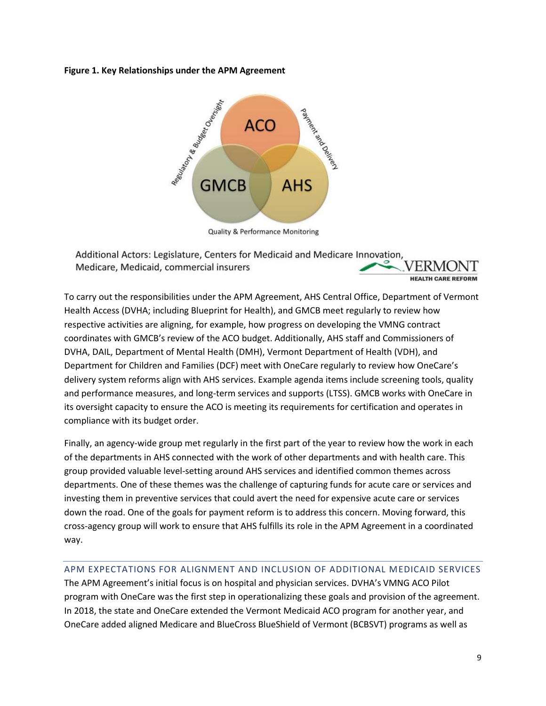### **Figure 1. Key Relationships under the APM Agreement**



**Quality & Performance Monitoring** 

Additional Actors: Legislature, Centers for Medicaid and Medicare Innovation, Medicare, Medicaid, commercial insurers **HEALTH CARE REFORM** 

To carry out the responsibilities under the APM Agreement, AHS Central Office, Department of Vermont Health Access (DVHA; including Blueprint for Health), and GMCB meet regularly to review how respective activities are aligning, for example, how progress on developing the VMNG contract coordinates with GMCB's review of the ACO budget. Additionally, AHS staff and Commissioners of DVHA, DAIL, Department of Mental Health (DMH), Vermont Department of Health (VDH), and Department for Children and Families (DCF) meet with OneCare regularly to review how OneCare's delivery system reforms align with AHS services. Example agenda items include screening tools, quality and performance measures, and long-term services and supports (LTSS). GMCB works with OneCare in its oversight capacity to ensure the ACO is meeting its requirements for certification and operates in compliance with its budget order.

Finally, an agency-wide group met regularly in the first part of the year to review how the work in each of the departments in AHS connected with the work of other departments and with health care. This group provided valuable level-setting around AHS services and identified common themes across departments. One of these themes was the challenge of capturing funds for acute care or services and investing them in preventive services that could avert the need for expensive acute care or services down the road. One of the goals for payment reform is to address this concern. Moving forward, this cross-agency group will work to ensure that AHS fulfills its role in the APM Agreement in a coordinated way.

# <span id="page-8-0"></span>APM EXPECTATIONS FOR ALIGNMENT AND INCLUSION OF ADDITIONAL MEDICAID SERVICES

The APM Agreement's initial focus is on hospital and physician services. DVHA's VMNG ACO Pilot program with OneCare was the first step in operationalizing these goals and provision of the agreement. In 2018, the state and OneCare extended the Vermont Medicaid ACO program for another year, and OneCare added aligned Medicare and BlueCross BlueShield of Vermont (BCBSVT) programs as well as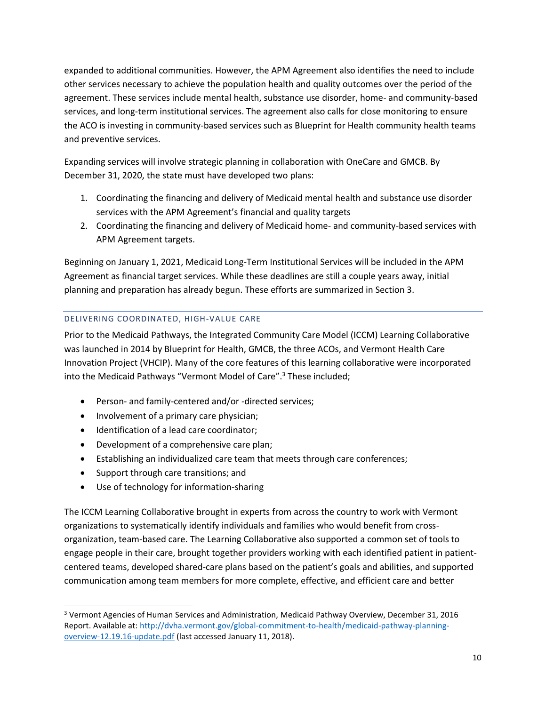expanded to additional communities. However, the APM Agreement also identifies the need to include other services necessary to achieve the population health and quality outcomes over the period of the agreement. These services include mental health, substance use disorder, home- and community-based services, and long-term institutional services. The agreement also calls for close monitoring to ensure the ACO is investing in community-based services such as Blueprint for Health community health teams and preventive services.

Expanding services will involve strategic planning in collaboration with OneCare and GMCB. By December 31, 2020, the state must have developed two plans:

- 1. Coordinating the financing and delivery of Medicaid mental health and substance use disorder services with the APM Agreement's financial and quality targets
- 2. Coordinating the financing and delivery of Medicaid home- and community-based services with APM Agreement targets.

Beginning on January 1, 2021, Medicaid Long-Term Institutional Services will be included in the APM Agreement as financial target services. While these deadlines are still a couple years away, initial planning and preparation has already begun. These efforts are summarized in Section 3.

# <span id="page-9-0"></span>DELIVERING COORDINATED, HIGH-VALUE CARE

Prior to the Medicaid Pathways, the Integrated Community Care Model (ICCM) Learning Collaborative was launched in 2014 by Blueprint for Health, GMCB, the three ACOs, and Vermont Health Care Innovation Project (VHCIP). Many of the core features of this learning collaborative were incorporated into the Medicaid Pathways "Vermont Model of Care".<sup>3</sup> These included;

- Person- and family-centered and/or -directed services;
- Involvement of a primary care physician;
- Identification of a lead care coordinator;
- Development of a comprehensive care plan;
- Establishing an individualized care team that meets through care conferences;
- Support through care transitions; and

 $\overline{a}$ 

• Use of technology for information-sharing

The ICCM Learning Collaborative brought in experts from across the country to work with Vermont organizations to systematically identify individuals and families who would benefit from crossorganization, team-based care. The Learning Collaborative also supported a common set of tools to engage people in their care, brought together providers working with each identified patient in patientcentered teams, developed shared-care plans based on the patient's goals and abilities, and supported communication among team members for more complete, effective, and efficient care and better

<sup>3</sup> Vermont Agencies of Human Services and Administration, Medicaid Pathway Overview, December 31, 2016 Report. Available at: [http://dvha.vermont.gov/global-commitment-to-health/medicaid-pathway-planning](http://dvha.vermont.gov/global-commitment-to-health/medicaid-pathway-planning-overview-12.19.16-update.pdf)[overview-12.19.16-update.pdf](http://dvha.vermont.gov/global-commitment-to-health/medicaid-pathway-planning-overview-12.19.16-update.pdf) (last accessed January 11, 2018).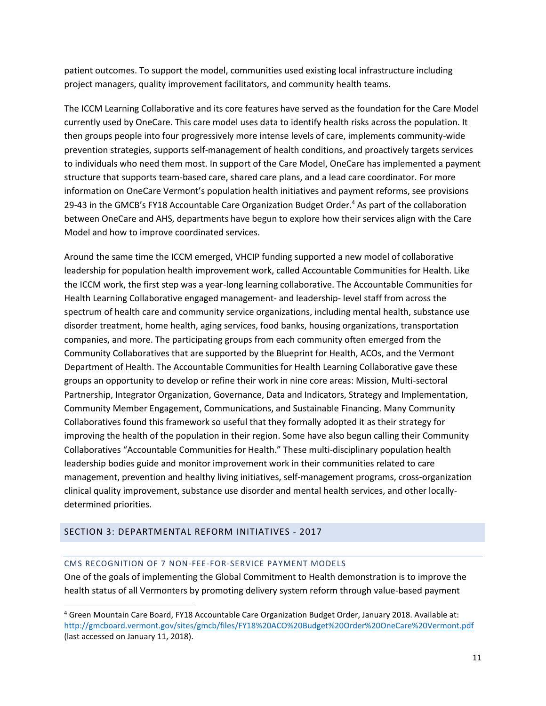patient outcomes. To support the model, communities used existing local infrastructure including project managers, quality improvement facilitators, and community health teams.

The ICCM Learning Collaborative and its core features have served as the foundation for the Care Model currently used by OneCare. This care model uses data to identify health risks across the population. It then groups people into four progressively more intense levels of care, implements community-wide prevention strategies, supports self-management of health conditions, and proactively targets services to individuals who need them most. In support of the Care Model, OneCare has implemented a payment structure that supports team-based care, shared care plans, and a lead care coordinator. For more information on OneCare Vermont's population health initiatives and payment reforms, see provisions 29-43 in the GMCB's FY18 Accountable Care Organization Budget Order.<sup>4</sup> As part of the collaboration between OneCare and AHS, departments have begun to explore how their services align with the Care Model and how to improve coordinated services.

Around the same time the ICCM emerged, VHCIP funding supported a new model of collaborative leadership for population health improvement work, called Accountable Communities for Health. Like the ICCM work, the first step was a year-long learning collaborative. The Accountable Communities for Health Learning Collaborative engaged management- and leadership- level staff from across the spectrum of health care and community service organizations, including mental health, substance use disorder treatment, home health, aging services, food banks, housing organizations, transportation companies, and more. The participating groups from each community often emerged from the Community Collaboratives that are supported by the Blueprint for Health, ACOs, and the Vermont Department of Health. The Accountable Communities for Health Learning Collaborative gave these groups an opportunity to develop or refine their work in nine core areas: Mission, Multi-sectoral Partnership, Integrator Organization, Governance, Data and Indicators, Strategy and Implementation, Community Member Engagement, Communications, and Sustainable Financing. Many Community Collaboratives found this framework so useful that they formally adopted it as their strategy for improving the health of the population in their region. Some have also begun calling their Community Collaboratives "Accountable Communities for Health." These multi-disciplinary population health leadership bodies guide and monitor improvement work in their communities related to care management, prevention and healthy living initiatives, self-management programs, cross-organization clinical quality improvement, substance use disorder and mental health services, and other locallydetermined priorities.

# <span id="page-10-1"></span><span id="page-10-0"></span>SECTION 3: DEPARTMENTAL REFORM INITIATIVES - 2017

 $\overline{a}$ 

#### CMS RECOGNITION OF 7 NON-FEE-FOR-SERVICE PAYMENT MODELS

One of the goals of implementing the Global Commitment to Health demonstration is to improve the health status of all Vermonters by promoting delivery system reform through value-based payment

<sup>4</sup> Green Mountain Care Board, FY18 Accountable Care Organization Budget Order, January 2018. Available at: <http://gmcboard.vermont.gov/sites/gmcb/files/FY18%20ACO%20Budget%20Order%20OneCare%20Vermont.pdf> (last accessed on January 11, 2018).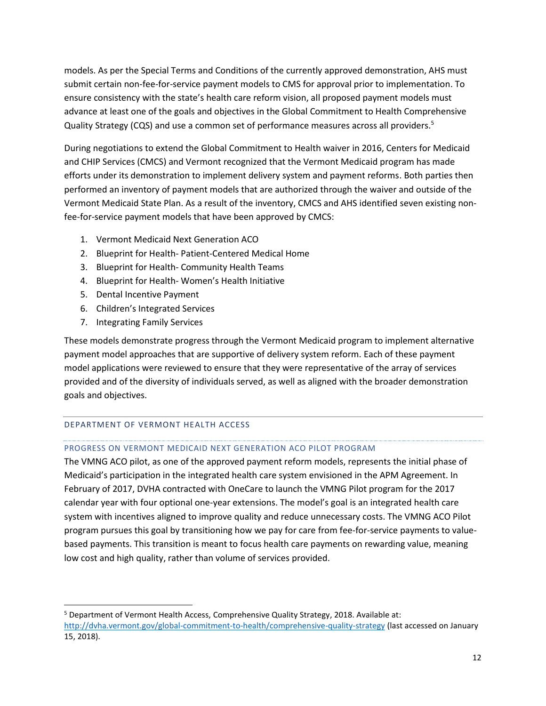models. As per the Special Terms and Conditions of the currently approved demonstration, AHS must submit certain non-fee-for-service payment models to CMS for approval prior to implementation. To ensure consistency with the state's health care reform vision, all proposed payment models must advance at least one of the goals and objectives in the Global Commitment to Health Comprehensive Quality Strategy (CQS) and use a common set of performance measures across all providers.<sup>5</sup>

During negotiations to extend the Global Commitment to Health waiver in 2016, Centers for Medicaid and CHIP Services (CMCS) and Vermont recognized that the Vermont Medicaid program has made efforts under its demonstration to implement delivery system and payment reforms. Both parties then performed an inventory of payment models that are authorized through the waiver and outside of the Vermont Medicaid State Plan. As a result of the inventory, CMCS and AHS identified seven existing nonfee-for-service payment models that have been approved by CMCS:

- 1. Vermont Medicaid Next Generation ACO
- 2. Blueprint for Health- Patient-Centered Medical Home
- 3. Blueprint for Health- Community Health Teams
- 4. Blueprint for Health- Women's Health Initiative
- 5. Dental Incentive Payment
- 6. Children's Integrated Services
- 7. Integrating Family Services

These models demonstrate progress through the Vermont Medicaid program to implement alternative payment model approaches that are supportive of delivery system reform. Each of these payment model applications were reviewed to ensure that they were representative of the array of services provided and of the diversity of individuals served, as well as aligned with the broader demonstration goals and objectives.

# <span id="page-11-1"></span><span id="page-11-0"></span>DEPARTMENT OF VERMONT HEALTH ACCESS

 $\overline{a}$ 

# PROGRESS ON VERMONT MEDICAID NEXT GENERATION ACO PILOT PROGRAM

The VMNG ACO pilot, as one of the approved payment reform models, represents the initial phase of Medicaid's participation in the integrated health care system envisioned in the APM Agreement. In February of 2017, DVHA contracted with OneCare to launch the VMNG Pilot program for the 2017 calendar year with four optional one-year extensions. The model's goal is an integrated health care system with incentives aligned to improve quality and reduce unnecessary costs. The VMNG ACO Pilot program pursues this goal by transitioning how we pay for care from fee-for-service payments to valuebased payments. This transition is meant to focus health care payments on rewarding value, meaning low cost and high quality, rather than volume of services provided.

<sup>5</sup> Department of Vermont Health Access, Comprehensive Quality Strategy, 2018. Available at: <http://dvha.vermont.gov/global-commitment-to-health/comprehensive-quality-strategy> (last accessed on January 15, 2018).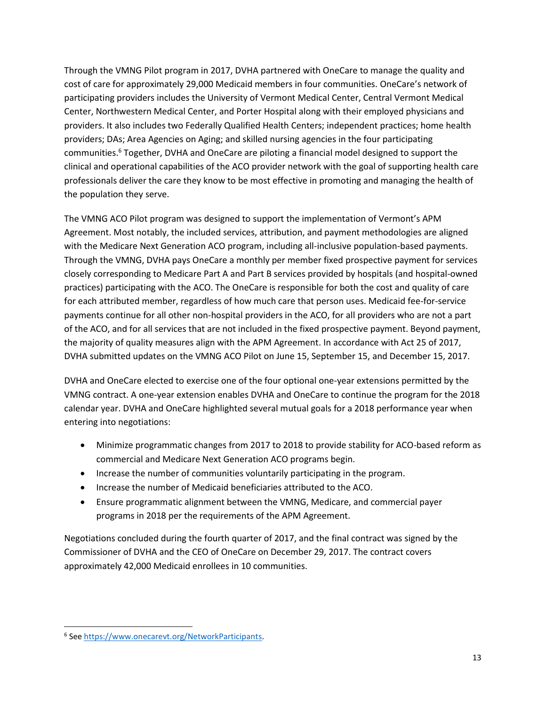Through the VMNG Pilot program in 2017, DVHA partnered with OneCare to manage the quality and cost of care for approximately 29,000 Medicaid members in four communities. OneCare's network of participating providers includes the University of Vermont Medical Center, Central Vermont Medical Center, Northwestern Medical Center, and Porter Hospital along with their employed physicians and providers. It also includes two Federally Qualified Health Centers; independent practices; home health providers; DAs; Area Agencies on Aging; and skilled nursing agencies in the four participating communities.<sup>6</sup> Together, DVHA and OneCare are piloting a financial model designed to support the clinical and operational capabilities of the ACO provider network with the goal of supporting health care professionals deliver the care they know to be most effective in promoting and managing the health of the population they serve.

The VMNG ACO Pilot program was designed to support the implementation of Vermont's APM Agreement. Most notably, the included services, attribution, and payment methodologies are aligned with the Medicare Next Generation ACO program, including all-inclusive population-based payments. Through the VMNG, DVHA pays OneCare a monthly per member fixed prospective payment for services closely corresponding to Medicare Part A and Part B services provided by hospitals (and hospital-owned practices) participating with the ACO. The OneCare is responsible for both the cost and quality of care for each attributed member, regardless of how much care that person uses. Medicaid fee-for-service payments continue for all other non-hospital providers in the ACO, for all providers who are not a part of the ACO, and for all services that are not included in the fixed prospective payment. Beyond payment, the majority of quality measures align with the APM Agreement. In accordance with Act 25 of 2017, DVHA submitted updates on the VMNG ACO Pilot on June 15, September 15, and December 15, 2017.

DVHA and OneCare elected to exercise one of the four optional one-year extensions permitted by the VMNG contract. A one-year extension enables DVHA and OneCare to continue the program for the 2018 calendar year. DVHA and OneCare highlighted several mutual goals for a 2018 performance year when entering into negotiations:

- Minimize programmatic changes from 2017 to 2018 to provide stability for ACO-based reform as commercial and Medicare Next Generation ACO programs begin.
- Increase the number of communities voluntarily participating in the program.
- Increase the number of Medicaid beneficiaries attributed to the ACO.
- Ensure programmatic alignment between the VMNG, Medicare, and commercial payer programs in 2018 per the requirements of the APM Agreement.

Negotiations concluded during the fourth quarter of 2017, and the final contract was signed by the Commissioner of DVHA and the CEO of OneCare on December 29, 2017. The contract covers approximately 42,000 Medicaid enrollees in 10 communities.

 $\overline{a}$ 

<sup>&</sup>lt;sup>6</sup> See [https://www.onecarevt.org/NetworkParticipants.](https://www.onecarevt.org/NetworkParticipants)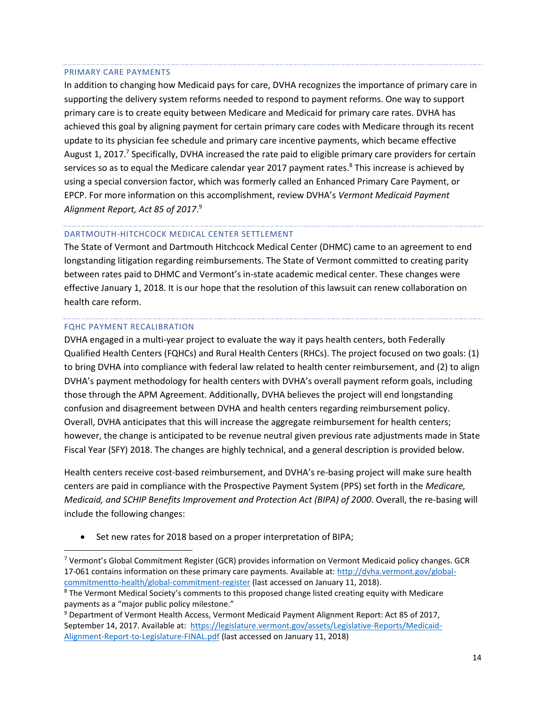#### <span id="page-13-0"></span>PRIMARY CARE PAYMENTS

In addition to changing how Medicaid pays for care, DVHA recognizes the importance of primary care in supporting the delivery system reforms needed to respond to payment reforms. One way to support primary care is to create equity between Medicare and Medicaid for primary care rates. DVHA has achieved this goal by aligning payment for certain primary care codes with Medicare through its recent update to its physician fee schedule and primary care incentive payments, which became effective August 1, 2017.<sup>7</sup> Specifically, DVHA increased the rate paid to eligible primary care providers for certain services so as to equal the Medicare calendar year 2017 payment rates.<sup>8</sup> This increase is achieved by using a special conversion factor, which was formerly called an Enhanced Primary Care Payment, or EPCP. For more information on this accomplishment, review DVHA's *Vermont Medicaid Payment Alignment Report, Act 85 of 2017*. 9

# <span id="page-13-1"></span>DARTMOUTH-HITCHCOCK MEDICAL CENTER SETTLEMENT

The State of Vermont and Dartmouth Hitchcock Medical Center (DHMC) came to an agreement to end longstanding litigation regarding reimbursements. The State of Vermont committed to creating parity between rates paid to DHMC and Vermont's in-state academic medical center. These changes were effective January 1, 2018. It is our hope that the resolution of this lawsuit can renew collaboration on health care reform.

#### <span id="page-13-2"></span>FQHC PAYMENT RECALIBRATION

 $\overline{a}$ 

DVHA engaged in a multi-year project to evaluate the way it pays health centers, both Federally Qualified Health Centers (FQHCs) and Rural Health Centers (RHCs). The project focused on two goals: (1) to bring DVHA into compliance with federal law related to health center reimbursement, and (2) to align DVHA's payment methodology for health centers with DVHA's overall payment reform goals, including those through the APM Agreement. Additionally, DVHA believes the project will end longstanding confusion and disagreement between DVHA and health centers regarding reimbursement policy. Overall, DVHA anticipates that this will increase the aggregate reimbursement for health centers; however, the change is anticipated to be revenue neutral given previous rate adjustments made in State Fiscal Year (SFY) 2018. The changes are highly technical, and a general description is provided below.

Health centers receive cost-based reimbursement, and DVHA's re-basing project will make sure health centers are paid in compliance with the Prospective Payment System (PPS) set forth in the *Medicare, Medicaid, and SCHIP Benefits Improvement and Protection Act (BIPA) of 2000*. Overall, the re-basing will include the following changes:

• Set new rates for 2018 based on a proper interpretation of BIPA;

<sup>7</sup> Vermont's Global Commitment Register (GCR) provides information on Vermont Medicaid policy changes. GCR 17-061 contains information on these primary care payments. Available at: [http://dvha.vermont.gov/global](http://dvha.vermont.gov/global-commitmentto-health/global-commitment-register)[commitmentto-health/global-commitment-register](http://dvha.vermont.gov/global-commitmentto-health/global-commitment-register) (last accessed on January 11, 2018).

<sup>&</sup>lt;sup>8</sup> The Vermont Medical Society's comments to this proposed change listed creating equity with Medicare payments as a "major public policy milestone."

<sup>9</sup> Department of Vermont Health Access, Vermont Medicaid Payment Alignment Report: Act 85 of 2017, September 14, 2017. Available at: [https://legislature.vermont.gov/assets/Legislative-Reports/Medicaid-](https://legislature.vermont.gov/assets/Legislative-Reports/Medicaid-Alignment-Report-to-Legislature-FINAL.pdf)[Alignment-Report-to-Legislature-FINAL.pdf](https://legislature.vermont.gov/assets/Legislative-Reports/Medicaid-Alignment-Report-to-Legislature-FINAL.pdf) (last accessed on January 11, 2018)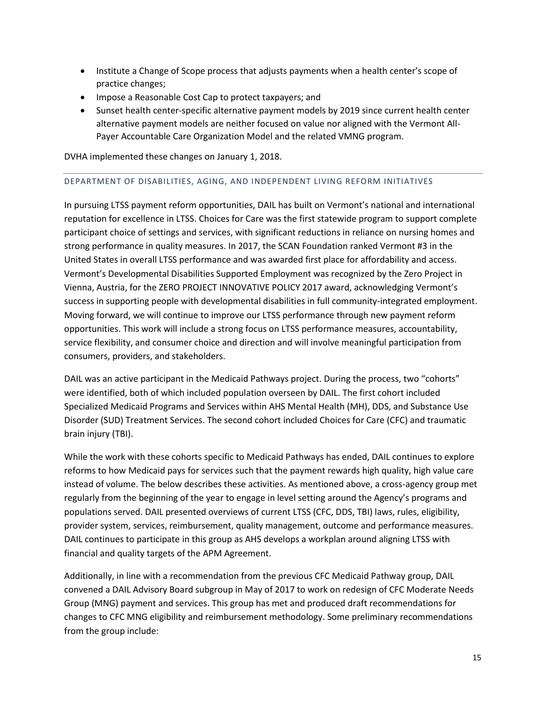- Institute a Change of Scope process that adjusts payments when a health center's scope of practice changes;
- Impose a Reasonable Cost Cap to protect taxpayers; and
- Sunset health center-specific alternative payment models by 2019 since current health center alternative payment models are neither focused on value nor aligned with the Vermont All-Payer Accountable Care Organization Model and the related VMNG program.

DVHA implemented these changes on January 1, 2018.

## <span id="page-14-0"></span>DEPARTMENT OF DISABILITIES, AGING, AND INDEPENDENT LIVING REFORM INITIATIVES

In pursuing LTSS payment reform opportunities, DAIL has built on Vermont's national and international reputation for excellence in LTSS. Choices for Care was the first statewide program to support complete participant choice of settings and services, with significant reductions in reliance on nursing homes and strong performance in quality measures. In 2017, the SCAN Foundation ranked Vermont #3 in the United States in overall LTSS performance and was awarded first place for affordability and access. Vermont's Developmental Disabilities Supported Employment was recognized by the Zero Project in Vienna, Austria, for the ZERO PROJECT INNOVATIVE POLICY 2017 award, acknowledging Vermont's success in supporting people with developmental disabilities in full community-integrated employment. Moving forward, we will continue to improve our LTSS performance through new payment reform opportunities. This work will include a strong focus on LTSS performance measures, accountability, service flexibility, and consumer choice and direction and will involve meaningful participation from consumers, providers, and stakeholders.

DAIL was an active participant in the Medicaid Pathways project. During the process, two "cohorts" were identified, both of which included population overseen by DAIL. The first cohort included Specialized Medicaid Programs and Services within AHS Mental Health (MH), DDS, and Substance Use Disorder (SUD) Treatment Services. The second cohort included Choices for Care (CFC) and traumatic brain injury (TBI).

While the work with these cohorts specific to Medicaid Pathways has ended, DAIL continues to explore reforms to how Medicaid pays for services such that the payment rewards high quality, high value care instead of volume. The below describes these activities. As mentioned above, a cross-agency group met regularly from the beginning of the year to engage in level setting around the Agency's programs and populations served. DAIL presented overviews of current LTSS (CFC, DDS, TBI) laws, rules, eligibility, provider system, services, reimbursement, quality management, outcome and performance measures. DAIL continues to participate in this group as AHS develops a workplan around aligning LTSS with financial and quality targets of the APM Agreement.

Additionally, in line with a recommendation from the previous CFC Medicaid Pathway group, DAIL convened a DAIL Advisory Board subgroup in May of 2017 to work on redesign of CFC Moderate Needs Group (MNG) payment and services. This group has met and produced draft recommendations for changes to CFC MNG eligibility and reimbursement methodology. Some preliminary recommendations from the group include: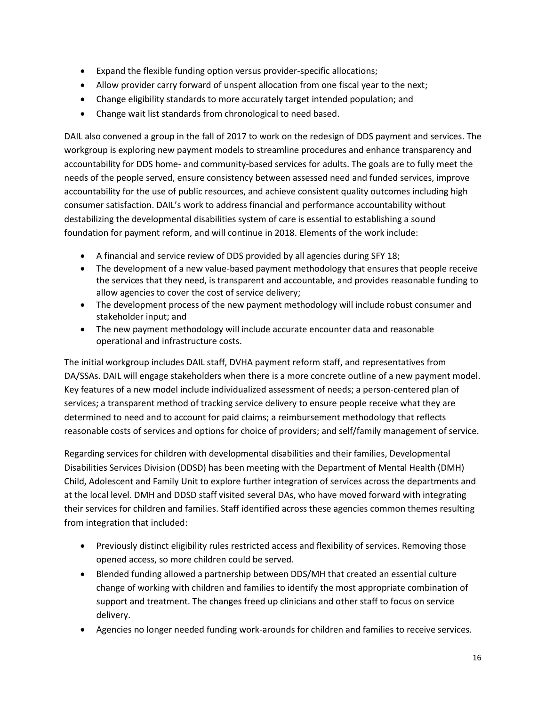- Expand the flexible funding option versus provider-specific allocations;
- Allow provider carry forward of unspent allocation from one fiscal year to the next;
- Change eligibility standards to more accurately target intended population; and
- Change wait list standards from chronological to need based.

DAIL also convened a group in the fall of 2017 to work on the redesign of DDS payment and services. The workgroup is exploring new payment models to streamline procedures and enhance transparency and accountability for DDS home- and community-based services for adults. The goals are to fully meet the needs of the people served, ensure consistency between assessed need and funded services, improve accountability for the use of public resources, and achieve consistent quality outcomes including high consumer satisfaction. DAIL's work to address financial and performance accountability without destabilizing the developmental disabilities system of care is essential to establishing a sound foundation for payment reform, and will continue in 2018. Elements of the work include:

- A financial and service review of DDS provided by all agencies during SFY 18;
- The development of a new value-based payment methodology that ensures that people receive the services that they need, is transparent and accountable, and provides reasonable funding to allow agencies to cover the cost of service delivery;
- The development process of the new payment methodology will include robust consumer and stakeholder input; and
- The new payment methodology will include accurate encounter data and reasonable operational and infrastructure costs.

The initial workgroup includes DAIL staff, DVHA payment reform staff, and representatives from DA/SSAs. DAIL will engage stakeholders when there is a more concrete outline of a new payment model. Key features of a new model include individualized assessment of needs; a person-centered plan of services; a transparent method of tracking service delivery to ensure people receive what they are determined to need and to account for paid claims; a reimbursement methodology that reflects reasonable costs of services and options for choice of providers; and self/family management of service.

Regarding services for children with developmental disabilities and their families, Developmental Disabilities Services Division (DDSD) has been meeting with the Department of Mental Health (DMH) Child, Adolescent and Family Unit to explore further integration of services across the departments and at the local level. DMH and DDSD staff visited several DAs, who have moved forward with integrating their services for children and families. Staff identified across these agencies common themes resulting from integration that included:

- Previously distinct eligibility rules restricted access and flexibility of services. Removing those opened access, so more children could be served.
- Blended funding allowed a partnership between DDS/MH that created an essential culture change of working with children and families to identify the most appropriate combination of support and treatment. The changes freed up clinicians and other staff to focus on service delivery.
- Agencies no longer needed funding work-arounds for children and families to receive services.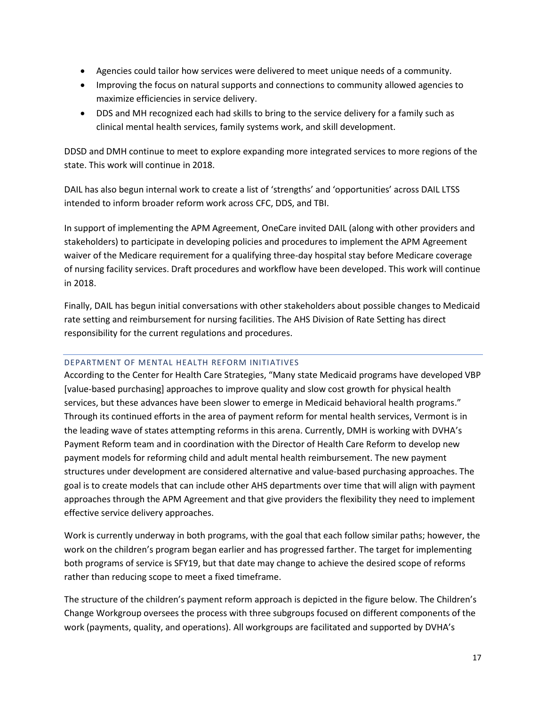- Agencies could tailor how services were delivered to meet unique needs of a community.
- Improving the focus on natural supports and connections to community allowed agencies to maximize efficiencies in service delivery.
- DDS and MH recognized each had skills to bring to the service delivery for a family such as clinical mental health services, family systems work, and skill development.

DDSD and DMH continue to meet to explore expanding more integrated services to more regions of the state. This work will continue in 2018.

DAIL has also begun internal work to create a list of 'strengths' and 'opportunities' across DAIL LTSS intended to inform broader reform work across CFC, DDS, and TBI.

In support of implementing the APM Agreement, OneCare invited DAIL (along with other providers and stakeholders) to participate in developing policies and procedures to implement the APM Agreement waiver of the Medicare requirement for a qualifying three-day hospital stay before Medicare coverage of nursing facility services. Draft procedures and workflow have been developed. This work will continue in 2018.

Finally, DAIL has begun initial conversations with other stakeholders about possible changes to Medicaid rate setting and reimbursement for nursing facilities. The AHS Division of Rate Setting has direct responsibility for the current regulations and procedures.

# <span id="page-16-0"></span>DEPARTMENT OF MENTAL HEALTH REFORM INITIATIVES

According to the Center for Health Care Strategies, "Many state Medicaid programs have developed VBP [value-based purchasing] approaches to improve quality and slow cost growth for physical health services, but these advances have been slower to emerge in Medicaid behavioral health programs." Through its continued efforts in the area of payment reform for mental health services, Vermont is in the leading wave of states attempting reforms in this arena. Currently, DMH is working with DVHA's Payment Reform team and in coordination with the Director of Health Care Reform to develop new payment models for reforming child and adult mental health reimbursement. The new payment structures under development are considered alternative and value-based purchasing approaches. The goal is to create models that can include other AHS departments over time that will align with payment approaches through the APM Agreement and that give providers the flexibility they need to implement effective service delivery approaches.

Work is currently underway in both programs, with the goal that each follow similar paths; however, the work on the children's program began earlier and has progressed farther. The target for implementing both programs of service is SFY19, but that date may change to achieve the desired scope of reforms rather than reducing scope to meet a fixed timeframe.

The structure of the children's payment reform approach is depicted in the figure below. The Children's Change Workgroup oversees the process with three subgroups focused on different components of the work (payments, quality, and operations). All workgroups are facilitated and supported by DVHA's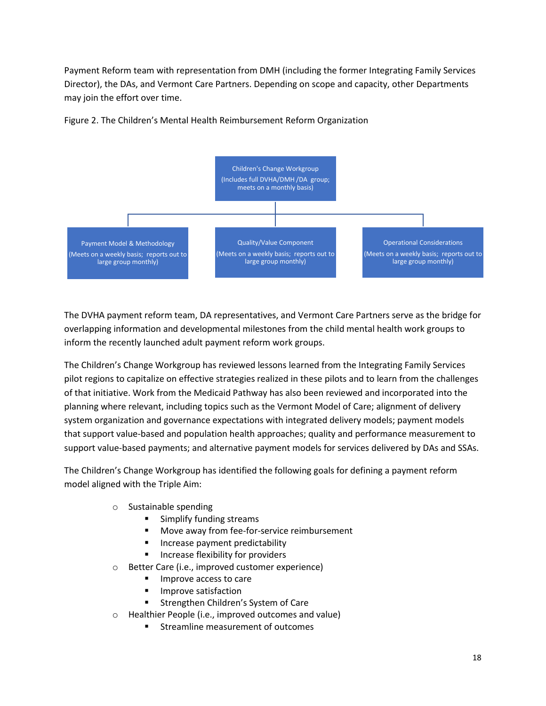Payment Reform team with representation from DMH (including the former Integrating Family Services Director), the DAs, and Vermont Care Partners. Depending on scope and capacity, other Departments may join the effort over time.



Figure 2. The Children's Mental Health Reimbursement Reform Organization

The DVHA payment reform team, DA representatives, and Vermont Care Partners serve as the bridge for overlapping information and developmental milestones from the child mental health work groups to inform the recently launched adult payment reform work groups.

The Children's Change Workgroup has reviewed lessons learned from the Integrating Family Services pilot regions to capitalize on effective strategies realized in these pilots and to learn from the challenges of that initiative. Work from the Medicaid Pathway has also been reviewed and incorporated into the planning where relevant, including topics such as the Vermont Model of Care; alignment of delivery system organization and governance expectations with integrated delivery models; payment models that support value-based and population health approaches; quality and performance measurement to support value-based payments; and alternative payment models for services delivered by DAs and SSAs.

The Children's Change Workgroup has identified the following goals for defining a payment reform model aligned with the Triple Aim:

- o Sustainable spending
	- Simplify funding streams
	- Move away from fee-for-service reimbursement
	- Increase payment predictability
	- Increase flexibility for providers
- o Better Care (i.e., improved customer experience)
	- Improve access to care
	- Improve satisfaction
	- **EXEC** Strengthen Children's System of Care
- o Healthier People (i.e., improved outcomes and value)
	- Streamline measurement of outcomes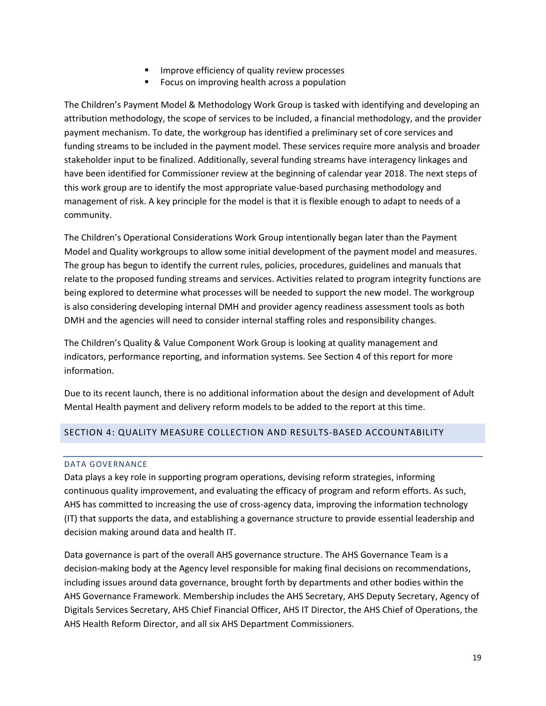- Improve efficiency of quality review processes
- Focus on improving health across a population

The Children's Payment Model & Methodology Work Group is tasked with identifying and developing an attribution methodology, the scope of services to be included, a financial methodology, and the provider payment mechanism. To date, the workgroup has identified a preliminary set of core services and funding streams to be included in the payment model. These services require more analysis and broader stakeholder input to be finalized. Additionally, several funding streams have interagency linkages and have been identified for Commissioner review at the beginning of calendar year 2018. The next steps of this work group are to identify the most appropriate value-based purchasing methodology and management of risk. A key principle for the model is that it is flexible enough to adapt to needs of a community.

The Children's Operational Considerations Work Group intentionally began later than the Payment Model and Quality workgroups to allow some initial development of the payment model and measures. The group has begun to identify the current rules, policies, procedures, guidelines and manuals that relate to the proposed funding streams and services. Activities related to program integrity functions are being explored to determine what processes will be needed to support the new model. The workgroup is also considering developing internal DMH and provider agency readiness assessment tools as both DMH and the agencies will need to consider internal staffing roles and responsibility changes.

The Children's Quality & Value Component Work Group is looking at quality management and indicators, performance reporting, and information systems. See Section 4 of this report for more information.

Due to its recent launch, there is no additional information about the design and development of Adult Mental Health payment and delivery reform models to be added to the report at this time.

# <span id="page-18-1"></span><span id="page-18-0"></span>SECTION 4: QUALITY MEASURE COLLECTION AND RESULTS-BASED ACCOUNTABILITY

#### DATA GOVERNANCE

Data plays a key role in supporting program operations, devising reform strategies, informing continuous quality improvement, and evaluating the efficacy of program and reform efforts. As such, AHS has committed to increasing the use of cross-agency data, improving the information technology (IT) that supports the data, and establishing a governance structure to provide essential leadership and decision making around data and health IT.

Data governance is part of the overall AHS governance structure. The AHS Governance Team is a decision-making body at the Agency level responsible for making final decisions on recommendations, including issues around data governance, brought forth by departments and other bodies within the AHS Governance Framework. Membership includes the AHS Secretary, AHS Deputy Secretary, Agency of Digitals Services Secretary, AHS Chief Financial Officer, AHS IT Director, the AHS Chief of Operations, the AHS Health Reform Director, and all six AHS Department Commissioners.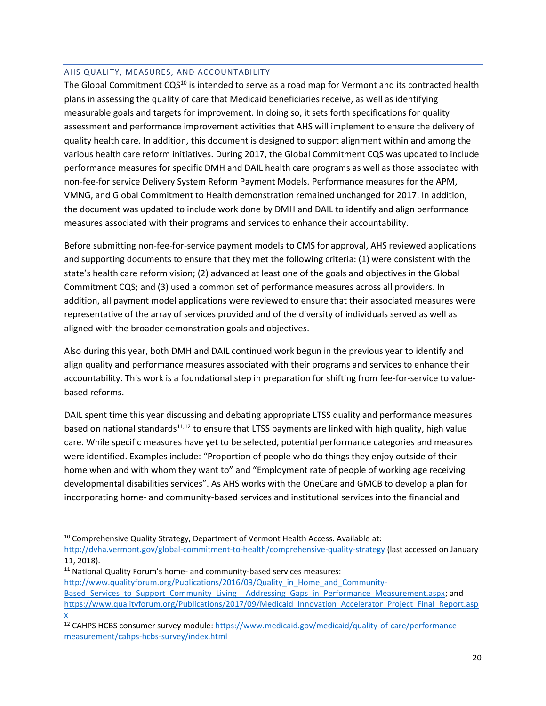### <span id="page-19-0"></span>AHS QUALITY, MEASURES, AND ACCOUNTABILITY

The Global Commitment  $CQS^{10}$  is intended to serve as a road map for Vermont and its contracted health plans in assessing the quality of care that Medicaid beneficiaries receive, as well as identifying measurable goals and targets for improvement. In doing so, it sets forth specifications for quality assessment and performance improvement activities that AHS will implement to ensure the delivery of quality health care. In addition, this document is designed to support alignment within and among the various health care reform initiatives. During 2017, the Global Commitment CQS was updated to include performance measures for specific DMH and DAIL health care programs as well as those associated with non-fee-for service Delivery System Reform Payment Models. Performance measures for the APM, VMNG, and Global Commitment to Health demonstration remained unchanged for 2017. In addition, the document was updated to include work done by DMH and DAIL to identify and align performance measures associated with their programs and services to enhance their accountability.

Before submitting non-fee-for-service payment models to CMS for approval, AHS reviewed applications and supporting documents to ensure that they met the following criteria: (1) were consistent with the state's health care reform vision; (2) advanced at least one of the goals and objectives in the Global Commitment CQS; and (3) used a common set of performance measures across all providers. In addition, all payment model applications were reviewed to ensure that their associated measures were representative of the array of services provided and of the diversity of individuals served as well as aligned with the broader demonstration goals and objectives.

Also during this year, both DMH and DAIL continued work begun in the previous year to identify and align quality and performance measures associated with their programs and services to enhance their accountability. This work is a foundational step in preparation for shifting from fee-for-service to valuebased reforms.

DAIL spent time this year discussing and debating appropriate LTSS quality and performance measures based on national standards<sup>11,12</sup> to ensure that LTSS payments are linked with high quality, high value care. While specific measures have yet to be selected, potential performance categories and measures were identified. Examples include: "Proportion of people who do things they enjoy outside of their home when and with whom they want to" and "Employment rate of people of working age receiving developmental disabilities services". As AHS works with the OneCare and GMCB to develop a plan for incorporating home- and community-based services and institutional services into the financial and

<sup>11</sup> National Quality Forum's home- and community-based services measures:

 $\overline{a}$ 

[http://www.qualityforum.org/Publications/2016/09/Quality\\_in\\_Home\\_and\\_Community-](http://www.qualityforum.org/Publications/2016/09/Quality_in_Home_and_Community-Based_Services_to_Support_Community_Living__Addressing_Gaps_in_Performance_Measurement.aspx)

<sup>&</sup>lt;sup>10</sup> Comprehensive Quality Strategy, Department of Vermont Health Access. Available at:

<http://dvha.vermont.gov/global-commitment-to-health/comprehensive-quality-strategy> (last accessed on January 11, 2018).

Based Services to Support Community Living Addressing Gaps in Performance Measurement.aspx; and [https://www.qualityforum.org/Publications/2017/09/Medicaid\\_Innovation\\_Accelerator\\_Project\\_Final\\_Report.asp](https://www.qualityforum.org/Publications/2017/09/Medicaid_Innovation_Accelerator_Project_Final_Report.aspx)

[x](https://www.qualityforum.org/Publications/2017/09/Medicaid_Innovation_Accelerator_Project_Final_Report.aspx) <sup>12</sup> CAHPS HCBS consumer survey module[: https://www.medicaid.gov/medicaid/quality-of-care/performance](https://www.medicaid.gov/medicaid/quality-of-care/performance-measurement/cahps-hcbs-survey/index.html)[measurement/cahps-hcbs-survey/index.html](https://www.medicaid.gov/medicaid/quality-of-care/performance-measurement/cahps-hcbs-survey/index.html)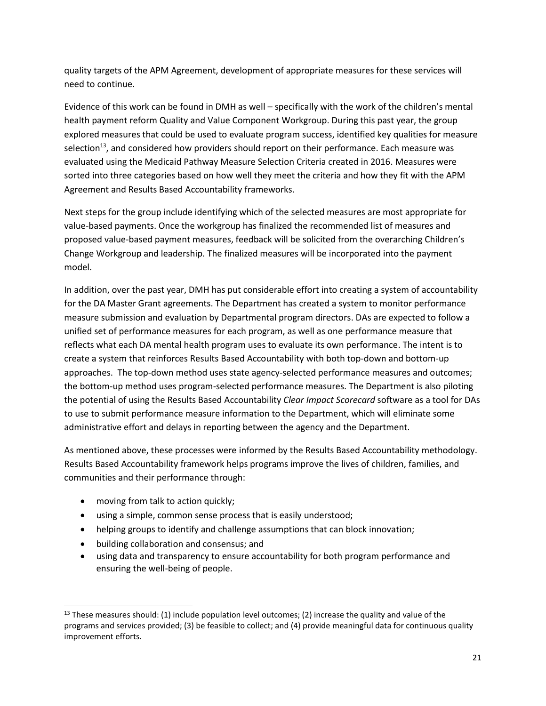quality targets of the APM Agreement, development of appropriate measures for these services will need to continue.

Evidence of this work can be found in DMH as well – specifically with the work of the children's mental health payment reform Quality and Value Component Workgroup. During this past year, the group explored measures that could be used to evaluate program success, identified key qualities for measure selection<sup>13</sup>, and considered how providers should report on their performance. Each measure was evaluated using the Medicaid Pathway Measure Selection Criteria created in 2016. Measures were sorted into three categories based on how well they meet the criteria and how they fit with the APM Agreement and Results Based Accountability frameworks.

Next steps for the group include identifying which of the selected measures are most appropriate for value-based payments. Once the workgroup has finalized the recommended list of measures and proposed value-based payment measures, feedback will be solicited from the overarching Children's Change Workgroup and leadership. The finalized measures will be incorporated into the payment model.

In addition, over the past year, DMH has put considerable effort into creating a system of accountability for the DA Master Grant agreements. The Department has created a system to monitor performance measure submission and evaluation by Departmental program directors. DAs are expected to follow a unified set of performance measures for each program, as well as one performance measure that reflects what each DA mental health program uses to evaluate its own performance. The intent is to create a system that reinforces Results Based Accountability with both top-down and bottom-up approaches. The top-down method uses state agency-selected performance measures and outcomes; the bottom-up method uses program-selected performance measures. The Department is also piloting the potential of using the Results Based Accountability *Clear Impact Scorecard* software as a tool for DAs to use to submit performance measure information to the Department, which will eliminate some administrative effort and delays in reporting between the agency and the Department.

As mentioned above, these processes were informed by the Results Based Accountability methodology. Results Based Accountability framework helps programs improve the lives of children, families, and communities and their performance through:

- moving from talk to action quickly;
- using a simple, common sense process that is easily understood;
- helping groups to identify and challenge assumptions that can block innovation;
- building collaboration and consensus; and
- using data and transparency to ensure accountability for both program performance and ensuring the well-being of people.

 $\overline{a}$  $13$  These measures should: (1) include population level outcomes; (2) increase the quality and value of the programs and services provided; (3) be feasible to collect; and (4) provide meaningful data for continuous quality improvement efforts.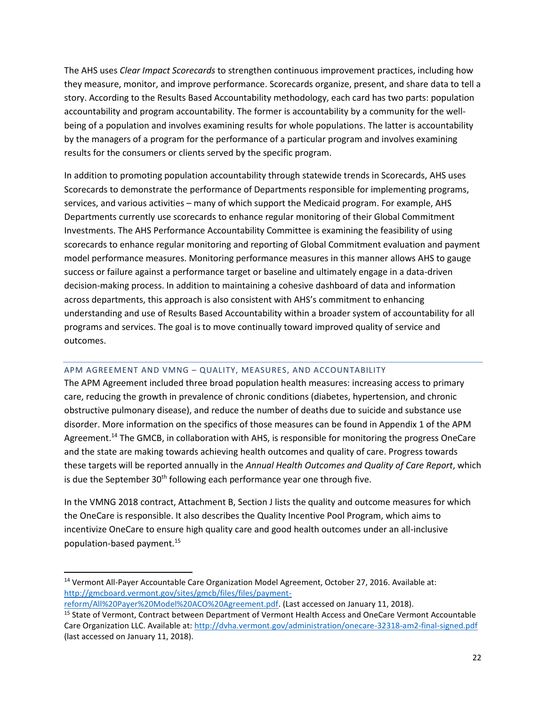The AHS uses *Clear Impact Scorecards* to strengthen continuous improvement practices, including how they measure, monitor, and improve performance. Scorecards organize, present, and share data to tell a story. According to the Results Based Accountability methodology, each card has two parts: population accountability and program accountability. The former is accountability by a community for the wellbeing of a population and involves examining results for whole populations. The latter is accountability by the managers of a program for the performance of a particular program and involves examining results for the consumers or clients served by the specific program.

In addition to promoting population accountability through statewide trends in Scorecards, AHS uses Scorecards to demonstrate the performance of Departments responsible for implementing programs, services, and various activities – many of which support the Medicaid program. For example, AHS Departments currently use scorecards to enhance regular monitoring of their Global Commitment Investments. The AHS Performance Accountability Committee is examining the feasibility of using scorecards to enhance regular monitoring and reporting of Global Commitment evaluation and payment model performance measures. Monitoring performance measures in this manner allows AHS to gauge success or failure against a performance target or baseline and ultimately engage in a data-driven decision-making process. In addition to maintaining a cohesive dashboard of data and information across departments, this approach is also consistent with AHS's commitment to enhancing understanding and use of Results Based Accountability within a broader system of accountability for all programs and services. The goal is to move continually toward improved quality of service and outcomes.

#### <span id="page-21-0"></span>APM AGREEMENT AND VMNG – QUALITY, MEASURES, AND ACCOUNTABILITY

The APM Agreement included three broad population health measures: increasing access to primary care, reducing the growth in prevalence of chronic conditions (diabetes, hypertension, and chronic obstructive pulmonary disease), and reduce the number of deaths due to suicide and substance use disorder. More information on the specifics of those measures can be found in Appendix 1 of the APM Agreement.<sup>14</sup> The GMCB, in collaboration with AHS, is responsible for monitoring the progress OneCare and the state are making towards achieving health outcomes and quality of care. Progress towards these targets will be reported annually in the *Annual Health Outcomes and Quality of Care Report*, which is due the September 30<sup>th</sup> following each performance year one through five.

In the VMNG 2018 contract, Attachment B, Section J lists the quality and outcome measures for which the OneCare is responsible. It also describes the Quality Incentive Pool Program, which aims to incentivize OneCare to ensure high quality care and good health outcomes under an all-inclusive population-based payment.<sup>15</sup>

 $\overline{a}$ 

<sup>14</sup> Vermont All-Payer Accountable Care Organization Model Agreement, October 27, 2016. Available at: [http://gmcboard.vermont.gov/sites/gmcb/files/files/payment-](http://gmcboard.vermont.gov/sites/gmcb/files/files/payment-reform/All%20Payer%20Model%20ACO%20Agreement.pdf)

[reform/All%20Payer%20Model%20ACO%20Agreement.pdf.](http://gmcboard.vermont.gov/sites/gmcb/files/files/payment-reform/All%20Payer%20Model%20ACO%20Agreement.pdf) (Last accessed on January 11, 2018).

<sup>15</sup> State of Vermont, Contract between Department of Vermont Health Access and OneCare Vermont Accountable Care Organization LLC. Available at:<http://dvha.vermont.gov/administration/onecare-32318-am2-final-signed.pdf> (last accessed on January 11, 2018).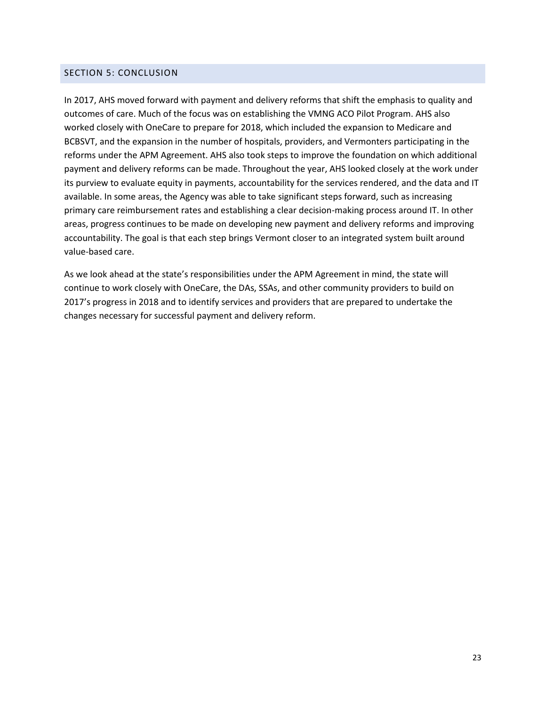# <span id="page-22-0"></span>SECTION 5: CONCLUSION

In 2017, AHS moved forward with payment and delivery reforms that shift the emphasis to quality and outcomes of care. Much of the focus was on establishing the VMNG ACO Pilot Program. AHS also worked closely with OneCare to prepare for 2018, which included the expansion to Medicare and BCBSVT, and the expansion in the number of hospitals, providers, and Vermonters participating in the reforms under the APM Agreement. AHS also took steps to improve the foundation on which additional payment and delivery reforms can be made. Throughout the year, AHS looked closely at the work under its purview to evaluate equity in payments, accountability for the services rendered, and the data and IT available. In some areas, the Agency was able to take significant steps forward, such as increasing primary care reimbursement rates and establishing a clear decision-making process around IT. In other areas, progress continues to be made on developing new payment and delivery reforms and improving accountability. The goal is that each step brings Vermont closer to an integrated system built around value-based care.

As we look ahead at the state's responsibilities under the APM Agreement in mind, the state will continue to work closely with OneCare, the DAs, SSAs, and other community providers to build on 2017's progress in 2018 and to identify services and providers that are prepared to undertake the changes necessary for successful payment and delivery reform.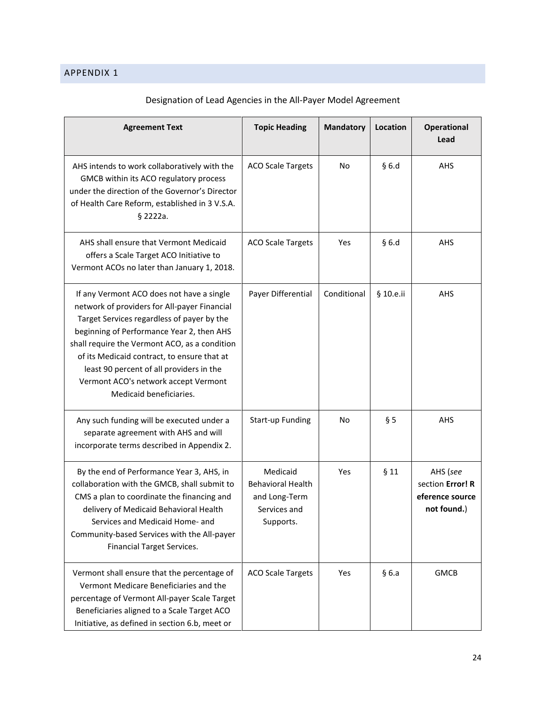<span id="page-23-0"></span>

| <b>Agreement Text</b>                                                                                                                                                                                                                                                                                                                                                                               | <b>Topic Heading</b>                                                               | <b>Mandatory</b> | Location  | <b>Operational</b><br>Lead                                     |
|-----------------------------------------------------------------------------------------------------------------------------------------------------------------------------------------------------------------------------------------------------------------------------------------------------------------------------------------------------------------------------------------------------|------------------------------------------------------------------------------------|------------------|-----------|----------------------------------------------------------------|
| AHS intends to work collaboratively with the<br>GMCB within its ACO regulatory process<br>under the direction of the Governor's Director<br>of Health Care Reform, established in 3 V.S.A.<br>§ 2222a.                                                                                                                                                                                              | <b>ACO Scale Targets</b>                                                           | No               | §6.d      | AHS                                                            |
| AHS shall ensure that Vermont Medicaid<br>offers a Scale Target ACO Initiative to<br>Vermont ACOs no later than January 1, 2018.                                                                                                                                                                                                                                                                    | <b>ACO Scale Targets</b>                                                           | Yes              | §6.d      | AHS                                                            |
| If any Vermont ACO does not have a single<br>network of providers for All-payer Financial<br>Target Services regardless of payer by the<br>beginning of Performance Year 2, then AHS<br>shall require the Vermont ACO, as a condition<br>of its Medicaid contract, to ensure that at<br>least 90 percent of all providers in the<br>Vermont ACO's network accept Vermont<br>Medicaid beneficiaries. | Payer Differential                                                                 | Conditional      | § 10.e.ii | AHS                                                            |
| Any such funding will be executed under a<br>separate agreement with AHS and will<br>incorporate terms described in Appendix 2.                                                                                                                                                                                                                                                                     | <b>Start-up Funding</b>                                                            | No               | § 5       | AHS                                                            |
| By the end of Performance Year 3, AHS, in<br>collaboration with the GMCB, shall submit to<br>CMS a plan to coordinate the financing and<br>delivery of Medicaid Behavioral Health<br>Services and Medicaid Home- and<br>Community-based Services with the All-payer<br><b>Financial Target Services.</b>                                                                                            | Medicaid<br><b>Behavioral Health</b><br>and Long-Term<br>Services and<br>Supports. | Yes              | §11       | AHS (see<br>section Error! R<br>eference source<br>not found.) |
| Vermont shall ensure that the percentage of<br>Vermont Medicare Beneficiaries and the<br>percentage of Vermont All-payer Scale Target<br>Beneficiaries aligned to a Scale Target ACO<br>Initiative, as defined in section 6.b, meet or                                                                                                                                                              | <b>ACO Scale Targets</b>                                                           | Yes              | §6.a      | <b>GMCB</b>                                                    |

# Designation of Lead Agencies in the All-Payer Model Agreement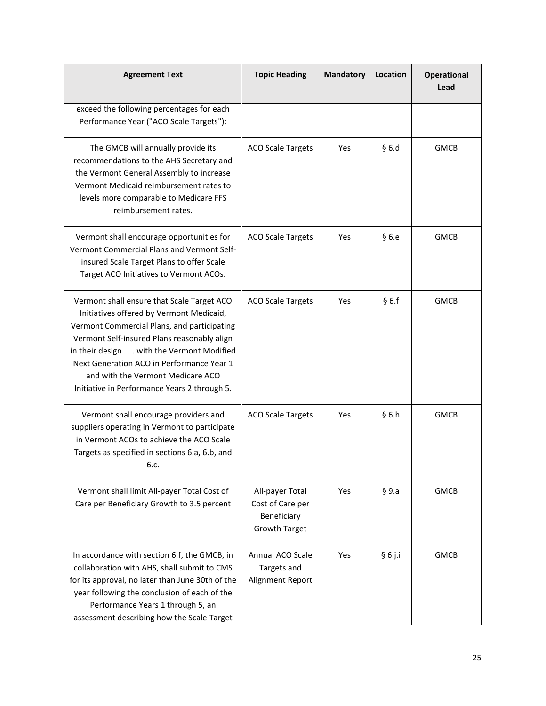| <b>Agreement Text</b>                                                                                                                                                                                                                                                                                                                                               | <b>Topic Heading</b>                                                       | <b>Mandatory</b> | Location   | <b>Operational</b><br>Lead |
|---------------------------------------------------------------------------------------------------------------------------------------------------------------------------------------------------------------------------------------------------------------------------------------------------------------------------------------------------------------------|----------------------------------------------------------------------------|------------------|------------|----------------------------|
| exceed the following percentages for each<br>Performance Year ("ACO Scale Targets"):                                                                                                                                                                                                                                                                                |                                                                            |                  |            |                            |
| The GMCB will annually provide its<br>recommendations to the AHS Secretary and<br>the Vermont General Assembly to increase<br>Vermont Medicaid reimbursement rates to<br>levels more comparable to Medicare FFS<br>reimbursement rates.                                                                                                                             | <b>ACO Scale Targets</b>                                                   | Yes              | §6.d       | <b>GMCB</b>                |
| Vermont shall encourage opportunities for<br>Vermont Commercial Plans and Vermont Self-<br>insured Scale Target Plans to offer Scale<br>Target ACO Initiatives to Vermont ACOs.                                                                                                                                                                                     | <b>ACO Scale Targets</b>                                                   | Yes              | §6.e       | <b>GMCB</b>                |
| Vermont shall ensure that Scale Target ACO<br>Initiatives offered by Vermont Medicaid,<br>Vermont Commercial Plans, and participating<br>Vermont Self-insured Plans reasonably align<br>in their design with the Vermont Modified<br>Next Generation ACO in Performance Year 1<br>and with the Vermont Medicare ACO<br>Initiative in Performance Years 2 through 5. | <b>ACO Scale Targets</b>                                                   | Yes              | §6.f       | <b>GMCB</b>                |
| Vermont shall encourage providers and<br>suppliers operating in Vermont to participate<br>in Vermont ACOs to achieve the ACO Scale<br>Targets as specified in sections 6.a, 6.b, and<br>6.c.                                                                                                                                                                        | <b>ACO Scale Targets</b>                                                   | Yes              | §6.h       | <b>GMCB</b>                |
| Vermont shall limit All-payer Total Cost of<br>Care per Beneficiary Growth to 3.5 percent                                                                                                                                                                                                                                                                           | All-payer Total<br>Cost of Care per<br>Beneficiary<br><b>Growth Target</b> | Yes              | § 9.a      | <b>GMCB</b>                |
| In accordance with section 6.f, the GMCB, in<br>collaboration with AHS, shall submit to CMS<br>for its approval, no later than June 30th of the<br>year following the conclusion of each of the<br>Performance Years 1 through 5, an<br>assessment describing how the Scale Target                                                                                  | Annual ACO Scale<br>Targets and<br>Alignment Report                        | Yes              | $§ 6.$ j.i | <b>GMCB</b>                |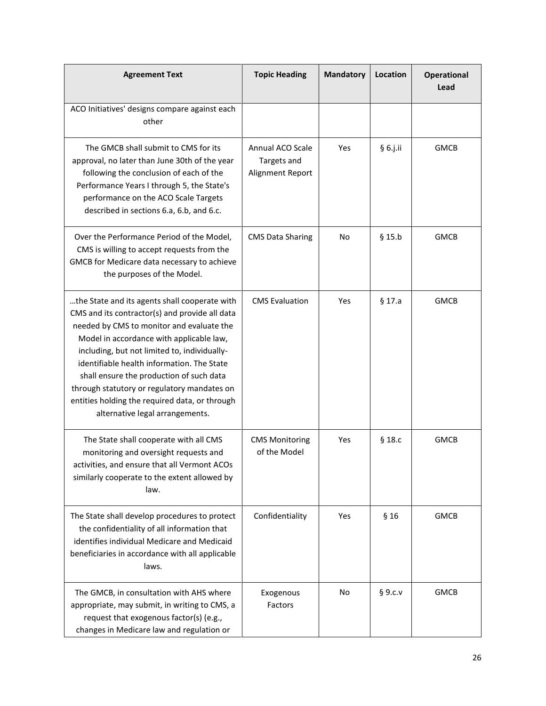| <b>Agreement Text</b>                                                                                                                                                                                                                                                                                                                                                                                                                                                  | <b>Topic Heading</b>                                | <b>Mandatory</b> | Location    | <b>Operational</b><br>Lead |
|------------------------------------------------------------------------------------------------------------------------------------------------------------------------------------------------------------------------------------------------------------------------------------------------------------------------------------------------------------------------------------------------------------------------------------------------------------------------|-----------------------------------------------------|------------------|-------------|----------------------------|
| ACO Initiatives' designs compare against each<br>other                                                                                                                                                                                                                                                                                                                                                                                                                 |                                                     |                  |             |                            |
| The GMCB shall submit to CMS for its<br>approval, no later than June 30th of the year<br>following the conclusion of each of the<br>Performance Years I through 5, the State's<br>performance on the ACO Scale Targets<br>described in sections 6.a, 6.b, and 6.c.                                                                                                                                                                                                     | Annual ACO Scale<br>Targets and<br>Alignment Report | Yes              | § 6.j.ii    | <b>GMCB</b>                |
| Over the Performance Period of the Model,<br>CMS is willing to accept requests from the<br>GMCB for Medicare data necessary to achieve<br>the purposes of the Model.                                                                                                                                                                                                                                                                                                   | <b>CMS Data Sharing</b>                             | No               | $§$ 15.b    | <b>GMCB</b>                |
| the State and its agents shall cooperate with<br>CMS and its contractor(s) and provide all data<br>needed by CMS to monitor and evaluate the<br>Model in accordance with applicable law,<br>including, but not limited to, individually-<br>identifiable health information. The State<br>shall ensure the production of such data<br>through statutory or regulatory mandates on<br>entities holding the required data, or through<br>alternative legal arrangements. | <b>CMS Evaluation</b>                               | Yes              | $§$ 17.a    | <b>GMCB</b>                |
| The State shall cooperate with all CMS<br>monitoring and oversight requests and<br>activities, and ensure that all Vermont ACOs<br>similarly cooperate to the extent allowed by<br>law.                                                                                                                                                                                                                                                                                | <b>CMS Monitoring</b><br>of the Model               | Yes              | $§$ 18. $c$ | <b>GMCB</b>                |
| The State shall develop procedures to protect<br>the confidentiality of all information that<br>identifies individual Medicare and Medicaid<br>beneficiaries in accordance with all applicable<br>laws.                                                                                                                                                                                                                                                                | Confidentiality                                     | Yes              | §16         | <b>GMCB</b>                |
| The GMCB, in consultation with AHS where<br>appropriate, may submit, in writing to CMS, a<br>request that exogenous factor(s) (e.g.,<br>changes in Medicare law and regulation or                                                                                                                                                                                                                                                                                      | Exogenous<br>Factors                                | No               | § 9.c.v     | <b>GMCB</b>                |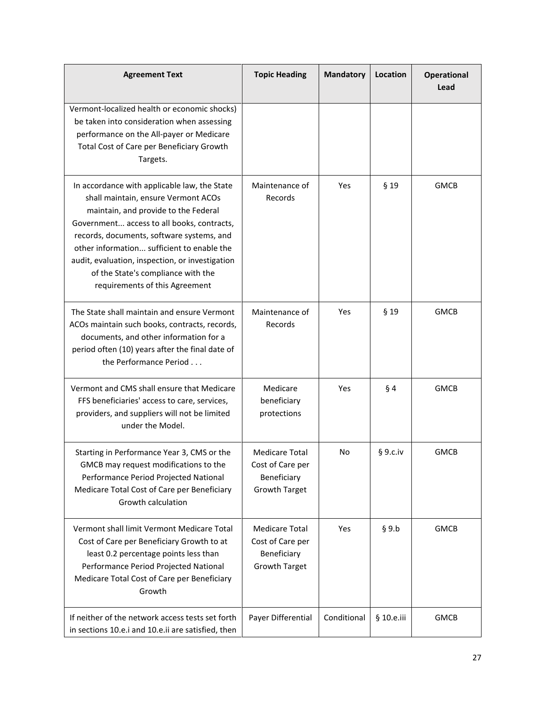| <b>Agreement Text</b>                                                                                                                                                                                                                                                                                                                                                                           | <b>Topic Heading</b>                                                             | <b>Mandatory</b> | Location   | <b>Operational</b><br>Lead |
|-------------------------------------------------------------------------------------------------------------------------------------------------------------------------------------------------------------------------------------------------------------------------------------------------------------------------------------------------------------------------------------------------|----------------------------------------------------------------------------------|------------------|------------|----------------------------|
| Vermont-localized health or economic shocks)<br>be taken into consideration when assessing<br>performance on the All-payer or Medicare<br>Total Cost of Care per Beneficiary Growth<br>Targets.                                                                                                                                                                                                 |                                                                                  |                  |            |                            |
| In accordance with applicable law, the State<br>shall maintain, ensure Vermont ACOs<br>maintain, and provide to the Federal<br>Government access to all books, contracts,<br>records, documents, software systems, and<br>other information sufficient to enable the<br>audit, evaluation, inspection, or investigation<br>of the State's compliance with the<br>requirements of this Agreement | Maintenance of<br>Records                                                        | Yes              | $§$ 19     | <b>GMCB</b>                |
| The State shall maintain and ensure Vermont<br>ACOs maintain such books, contracts, records,<br>documents, and other information for a<br>period often (10) years after the final date of<br>the Performance Period                                                                                                                                                                             | Maintenance of<br>Records                                                        | Yes              | $§$ 19     | <b>GMCB</b>                |
| Vermont and CMS shall ensure that Medicare<br>FFS beneficiaries' access to care, services,<br>providers, and suppliers will not be limited<br>under the Model.                                                                                                                                                                                                                                  | Medicare<br>beneficiary<br>protections                                           | Yes              | $§$ 4      | <b>GMCB</b>                |
| Starting in Performance Year 3, CMS or the<br>GMCB may request modifications to the<br>Performance Period Projected National<br>Medicare Total Cost of Care per Beneficiary<br>Growth calculation                                                                                                                                                                                               | <b>Medicare Total</b><br>Cost of Care per<br>Beneficiary<br>Growth Target        | No               | § 9.c.iv   | <b>GMCB</b>                |
| Vermont shall limit Vermont Medicare Total<br>Cost of Care per Beneficiary Growth to at<br>least 0.2 percentage points less than<br>Performance Period Projected National<br>Medicare Total Cost of Care per Beneficiary<br>Growth                                                                                                                                                              | <b>Medicare Total</b><br>Cost of Care per<br>Beneficiary<br><b>Growth Target</b> | Yes              | § 9.b      | <b>GMCB</b>                |
| If neither of the network access tests set forth<br>in sections 10.e.i and 10.e.ii are satisfied, then                                                                                                                                                                                                                                                                                          | Payer Differential                                                               | Conditional      | § 10.e.iii | <b>GMCB</b>                |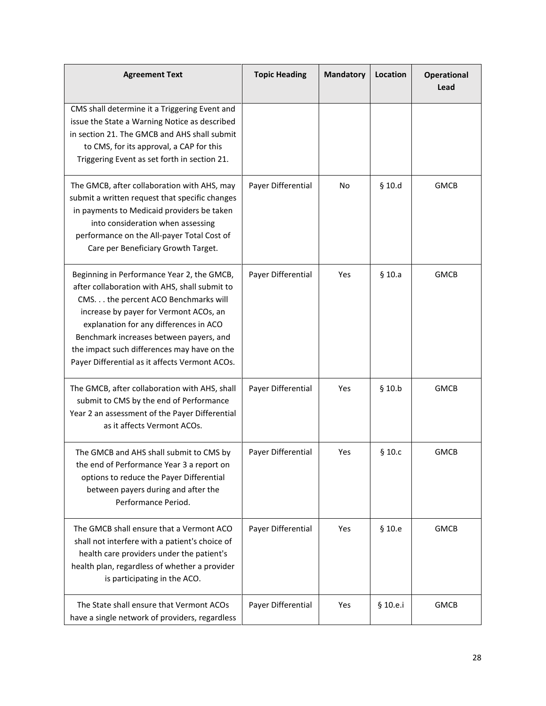| <b>Agreement Text</b>                                                                                                                                                                                                                                                                                                                                               | <b>Topic Heading</b> | <b>Mandatory</b> | Location    | <b>Operational</b><br>Lead |
|---------------------------------------------------------------------------------------------------------------------------------------------------------------------------------------------------------------------------------------------------------------------------------------------------------------------------------------------------------------------|----------------------|------------------|-------------|----------------------------|
| CMS shall determine it a Triggering Event and<br>issue the State a Warning Notice as described<br>in section 21. The GMCB and AHS shall submit<br>to CMS, for its approval, a CAP for this<br>Triggering Event as set forth in section 21.                                                                                                                          |                      |                  |             |                            |
| The GMCB, after collaboration with AHS, may<br>submit a written request that specific changes<br>in payments to Medicaid providers be taken<br>into consideration when assessing<br>performance on the All-payer Total Cost of<br>Care per Beneficiary Growth Target.                                                                                               | Payer Differential   | No               | $§$ 10.d    | <b>GMCB</b>                |
| Beginning in Performance Year 2, the GMCB,<br>after collaboration with AHS, shall submit to<br>CMS. the percent ACO Benchmarks will<br>increase by payer for Vermont ACOs, an<br>explanation for any differences in ACO<br>Benchmark increases between payers, and<br>the impact such differences may have on the<br>Payer Differential as it affects Vermont ACOs. | Payer Differential   | Yes              | $§$ 10.a    | <b>GMCB</b>                |
| The GMCB, after collaboration with AHS, shall<br>submit to CMS by the end of Performance<br>Year 2 an assessment of the Payer Differential<br>as it affects Vermont ACOs.                                                                                                                                                                                           | Payer Differential   | Yes              | $§$ 10.b    | <b>GMCB</b>                |
| The GMCB and AHS shall submit to CMS by<br>the end of Performance Year 3 a report on<br>options to reduce the Payer Differential<br>between payers during and after the<br>Performance Period.                                                                                                                                                                      | Payer Differential   | Yes              | $§$ 10. $c$ | <b>GMCB</b>                |
| The GMCB shall ensure that a Vermont ACO<br>shall not interfere with a patient's choice of<br>health care providers under the patient's<br>health plan, regardless of whether a provider<br>is participating in the ACO.                                                                                                                                            | Payer Differential   | Yes              | § 10.e      | <b>GMCB</b>                |
| The State shall ensure that Vermont ACOs<br>have a single network of providers, regardless                                                                                                                                                                                                                                                                          | Payer Differential   | Yes              | § 10.e.i    | <b>GMCB</b>                |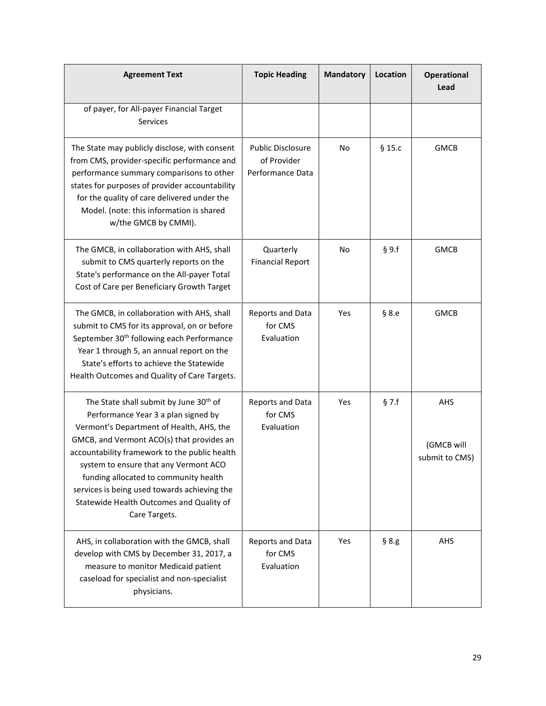| <b>Agreement Text</b>                                                                                                                                                                                                                                                                                                                                                                                                              | <b>Topic Heading</b>                                        | <b>Mandatory</b> | Location    | <b>Operational</b><br>Lead          |
|------------------------------------------------------------------------------------------------------------------------------------------------------------------------------------------------------------------------------------------------------------------------------------------------------------------------------------------------------------------------------------------------------------------------------------|-------------------------------------------------------------|------------------|-------------|-------------------------------------|
| of payer, for All-payer Financial Target<br><b>Services</b>                                                                                                                                                                                                                                                                                                                                                                        |                                                             |                  |             |                                     |
| The State may publicly disclose, with consent<br>from CMS, provider-specific performance and<br>performance summary comparisons to other<br>states for purposes of provider accountability<br>for the quality of care delivered under the<br>Model. (note: this information is shared<br>w/the GMCB by CMMI).                                                                                                                      | <b>Public Disclosure</b><br>of Provider<br>Performance Data | No               | $§$ 15. $c$ | <b>GMCB</b>                         |
| The GMCB, in collaboration with AHS, shall<br>submit to CMS quarterly reports on the<br>State's performance on the All-payer Total<br>Cost of Care per Beneficiary Growth Target                                                                                                                                                                                                                                                   | Quarterly<br><b>Financial Report</b>                        | No               | § 9.f       | <b>GMCB</b>                         |
| The GMCB, in collaboration with AHS, shall<br>submit to CMS for its approval, on or before<br>September 30 <sup>th</sup> following each Performance<br>Year 1 through 5, an annual report on the<br>State's efforts to achieve the Statewide<br>Health Outcomes and Quality of Care Targets.                                                                                                                                       | Reports and Data<br>for CMS<br>Evaluation                   | Yes              | § 8.e       | <b>GMCB</b>                         |
| The State shall submit by June 30 <sup>th</sup> of<br>Performance Year 3 a plan signed by<br>Vermont's Department of Health, AHS, the<br>GMCB, and Vermont ACO(s) that provides an<br>accountability framework to the public health<br>system to ensure that any Vermont ACO<br>funding allocated to community health<br>services is being used towards achieving the<br>Statewide Health Outcomes and Quality of<br>Care Targets. | Reports and Data<br>for CMS<br>Evaluation                   | Yes              | $§$ 7.f     | AHS<br>(GMCB will<br>submit to CMS) |
| AHS, in collaboration with the GMCB, shall<br>develop with CMS by December 31, 2017, a<br>measure to monitor Medicaid patient<br>caseload for specialist and non-specialist<br>physicians.                                                                                                                                                                                                                                         | Reports and Data<br>for CMS<br>Evaluation                   | Yes              | § 8.g       | AHS                                 |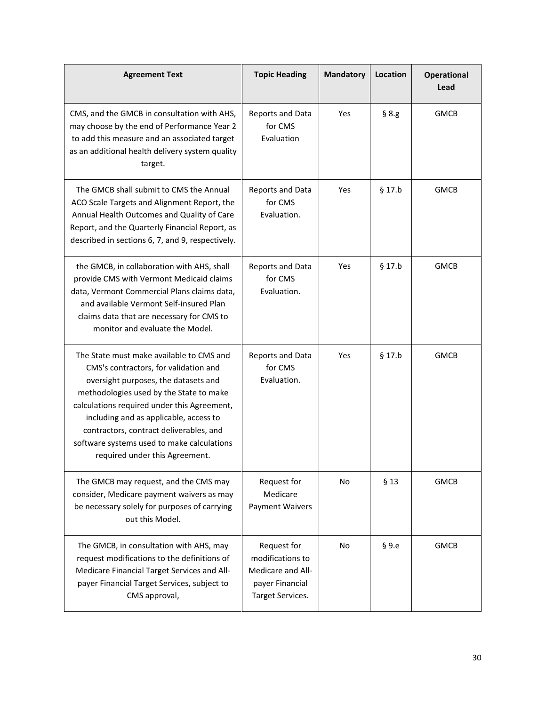| <b>Agreement Text</b>                                                                                                                                                                                                                                                                                                                                                                    | <b>Topic Heading</b>                                                                        | <b>Mandatory</b> | Location | <b>Operational</b><br>Lead |
|------------------------------------------------------------------------------------------------------------------------------------------------------------------------------------------------------------------------------------------------------------------------------------------------------------------------------------------------------------------------------------------|---------------------------------------------------------------------------------------------|------------------|----------|----------------------------|
| CMS, and the GMCB in consultation with AHS,<br>may choose by the end of Performance Year 2<br>to add this measure and an associated target<br>as an additional health delivery system quality<br>target.                                                                                                                                                                                 | Reports and Data<br>for CMS<br>Evaluation                                                   | Yes              | § 8.g    | <b>GMCB</b>                |
| The GMCB shall submit to CMS the Annual<br>ACO Scale Targets and Alignment Report, the<br>Annual Health Outcomes and Quality of Care<br>Report, and the Quarterly Financial Report, as<br>described in sections 6, 7, and 9, respectively.                                                                                                                                               | Reports and Data<br>for CMS<br>Evaluation.                                                  | Yes              | $§$ 17.b | <b>GMCB</b>                |
| the GMCB, in collaboration with AHS, shall<br>provide CMS with Vermont Medicaid claims<br>data, Vermont Commercial Plans claims data,<br>and available Vermont Self-insured Plan<br>claims data that are necessary for CMS to<br>monitor and evaluate the Model.                                                                                                                         | Reports and Data<br>for CMS<br>Evaluation.                                                  | Yes              | $§$ 17.b | <b>GMCB</b>                |
| The State must make available to CMS and<br>CMS's contractors, for validation and<br>oversight purposes, the datasets and<br>methodologies used by the State to make<br>calculations required under this Agreement,<br>including and as applicable, access to<br>contractors, contract deliverables, and<br>software systems used to make calculations<br>required under this Agreement. | Reports and Data<br>for CMS<br>Evaluation.                                                  | Yes              | $§$ 17.b | <b>GMCB</b>                |
| The GMCB may request, and the CMS may<br>consider, Medicare payment waivers as may<br>be necessary solely for purposes of carrying<br>out this Model.                                                                                                                                                                                                                                    | Request for<br>Medicare<br>Payment Waivers                                                  | No               | $§$ 13   | <b>GMCB</b>                |
| The GMCB, in consultation with AHS, may<br>request modifications to the definitions of<br>Medicare Financial Target Services and All-<br>payer Financial Target Services, subject to<br>CMS approval,                                                                                                                                                                                    | Request for<br>modifications to<br>Medicare and All-<br>payer Financial<br>Target Services. | No               | §9.e     | <b>GMCB</b>                |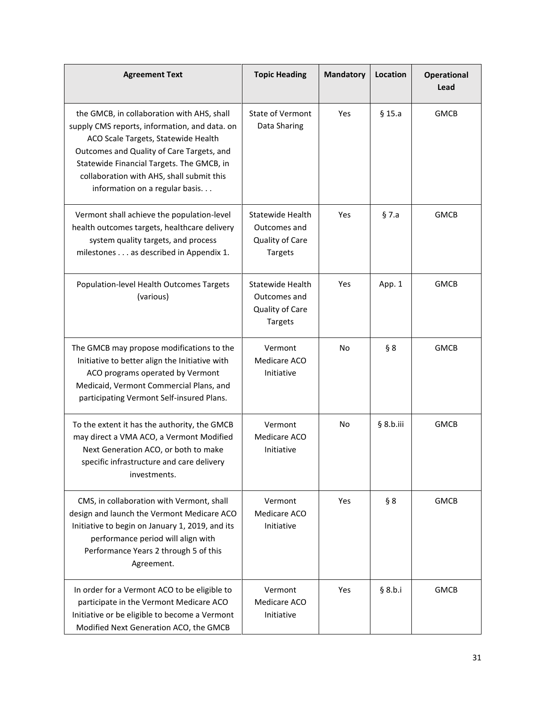| <b>Agreement Text</b>                                                                                                                                                                                                                                                                                        | <b>Topic Heading</b>                                                         | <b>Mandatory</b> | <b>Location</b> | <b>Operational</b><br>Lead |
|--------------------------------------------------------------------------------------------------------------------------------------------------------------------------------------------------------------------------------------------------------------------------------------------------------------|------------------------------------------------------------------------------|------------------|-----------------|----------------------------|
| the GMCB, in collaboration with AHS, shall<br>supply CMS reports, information, and data. on<br>ACO Scale Targets, Statewide Health<br>Outcomes and Quality of Care Targets, and<br>Statewide Financial Targets. The GMCB, in<br>collaboration with AHS, shall submit this<br>information on a regular basis. | State of Vermont<br>Data Sharing                                             | Yes              | $§$ 15.a        | <b>GMCB</b>                |
| Vermont shall achieve the population-level<br>health outcomes targets, healthcare delivery<br>system quality targets, and process<br>milestones as described in Appendix 1.                                                                                                                                  | <b>Statewide Health</b><br>Outcomes and<br>Quality of Care<br><b>Targets</b> | Yes              | $§$ 7.a         | <b>GMCB</b>                |
| Population-level Health Outcomes Targets<br>(various)                                                                                                                                                                                                                                                        | <b>Statewide Health</b><br>Outcomes and<br>Quality of Care<br><b>Targets</b> | Yes              | App. 1          | <b>GMCB</b>                |
| The GMCB may propose modifications to the<br>Initiative to better align the Initiative with<br>ACO programs operated by Vermont<br>Medicaid, Vermont Commercial Plans, and<br>participating Vermont Self-insured Plans.                                                                                      | Vermont<br>Medicare ACO<br>Initiative                                        | No               | § 8             | <b>GMCB</b>                |
| To the extent it has the authority, the GMCB<br>may direct a VMA ACO, a Vermont Modified<br>Next Generation ACO, or both to make<br>specific infrastructure and care delivery<br>investments.                                                                                                                | Vermont<br>Medicare ACO<br>Initiative                                        | No               | § 8.b.iii       | <b>GMCB</b>                |
| CMS, in collaboration with Vermont, shall<br>design and launch the Vermont Medicare ACO<br>Initiative to begin on January 1, 2019, and its<br>performance period will align with<br>Performance Years 2 through 5 of this<br>Agreement.                                                                      | Vermont<br>Medicare ACO<br>Initiative                                        | Yes              | § 8             | <b>GMCB</b>                |
| In order for a Vermont ACO to be eligible to<br>participate in the Vermont Medicare ACO<br>Initiative or be eligible to become a Vermont<br>Modified Next Generation ACO, the GMCB                                                                                                                           | Vermont<br>Medicare ACO<br>Initiative                                        | Yes              | § 8.b.i         | <b>GMCB</b>                |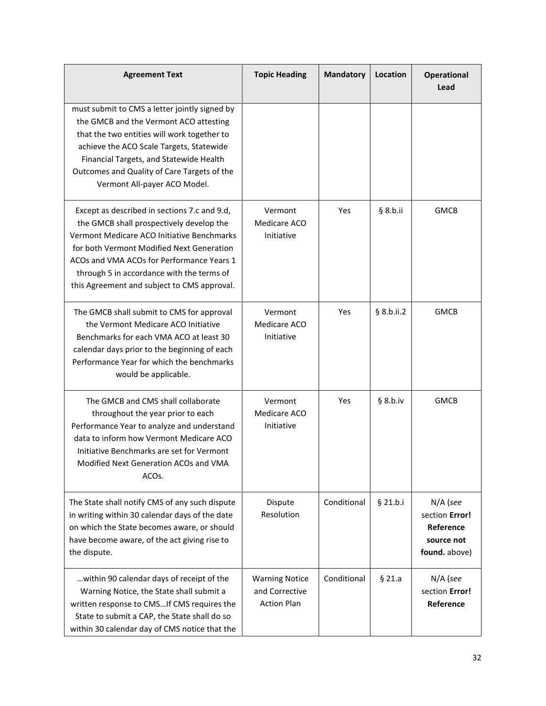| <b>Agreement Text</b>                                                                                                                                                                                                                                                                                                        | <b>Topic Heading</b>                                          | <b>Mandatory</b> | Location   | <b>Operational</b><br>Lead                                             |
|------------------------------------------------------------------------------------------------------------------------------------------------------------------------------------------------------------------------------------------------------------------------------------------------------------------------------|---------------------------------------------------------------|------------------|------------|------------------------------------------------------------------------|
| must submit to CMS a letter jointly signed by<br>the GMCB and the Vermont ACO attesting<br>that the two entities will work together to<br>achieve the ACO Scale Targets, Statewide<br>Financial Targets, and Statewide Health<br>Outcomes and Quality of Care Targets of the<br>Vermont All-payer ACO Model.                 |                                                               |                  |            |                                                                        |
| Except as described in sections 7.c and 9.d,<br>the GMCB shall prospectively develop the<br>Vermont Medicare ACO Initiative Benchmarks<br>for both Vermont Modified Next Generation<br>ACOs and VMA ACOs for Performance Years 1<br>through 5 in accordance with the terms of<br>this Agreement and subject to CMS approval. | Vermont<br>Medicare ACO<br>Initiative                         | Yes              | § 8.b.ii   | <b>GMCB</b>                                                            |
| The GMCB shall submit to CMS for approval<br>the Vermont Medicare ACO Initiative<br>Benchmarks for each VMA ACO at least 30<br>calendar days prior to the beginning of each<br>Performance Year for which the benchmarks<br>would be applicable.                                                                             | Vermont<br>Medicare ACO<br>Initiative                         | Yes              | § 8.b.ii.2 | <b>GMCB</b>                                                            |
| The GMCB and CMS shall collaborate<br>throughout the year prior to each<br>Performance Year to analyze and understand<br>data to inform how Vermont Medicare ACO<br>Initiative Benchmarks are set for Vermont<br>Modified Next Generation ACOs and VMA<br>ACO <sub>S</sub> .                                                 | Vermont<br>Medicare ACO<br>Initiative                         | Yes              | § 8.b.iv   | <b>GMCB</b>                                                            |
| The State shall notify CMS of any such dispute<br>in writing within 30 calendar days of the date<br>on which the State becomes aware, or should<br>have become aware, of the act giving rise to<br>the dispute.                                                                                                              | Dispute<br>Resolution                                         | Conditional      | $§$ 21.b.i | N/A (see<br>section Error!<br>Reference<br>source not<br>found. above) |
| within 90 calendar days of receipt of the<br>Warning Notice, the State shall submit a<br>written response to CMSIf CMS requires the<br>State to submit a CAP, the State shall do so<br>within 30 calendar day of CMS notice that the                                                                                         | <b>Warning Notice</b><br>and Corrective<br><b>Action Plan</b> | Conditional      | $§$ 21.a   | N/A (see<br>section Error!<br>Reference                                |